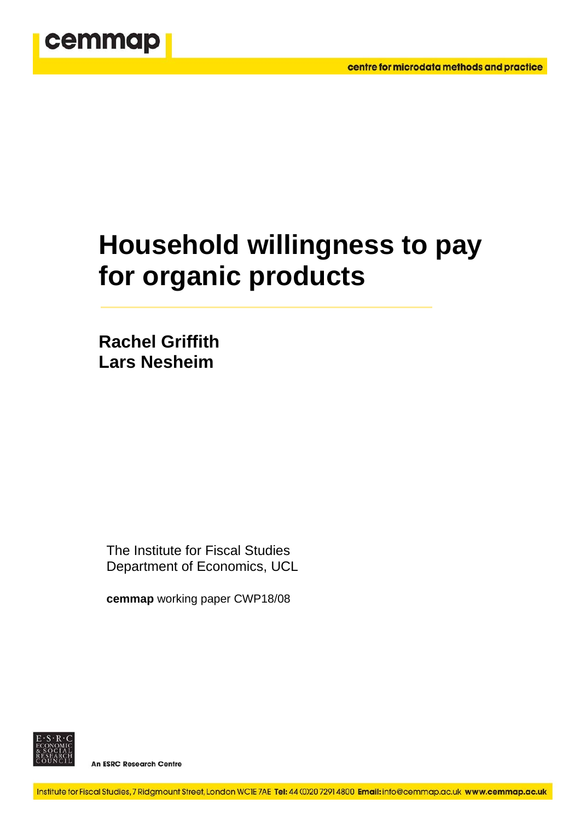

# **Household willingness to pay for organic products**

**Rachel Griffith Lars Nesheim** 

The Institute for Fiscal Studies Department of Economics, UCL

**cemmap** working paper CWP18/08



**An ESRC Research Centre**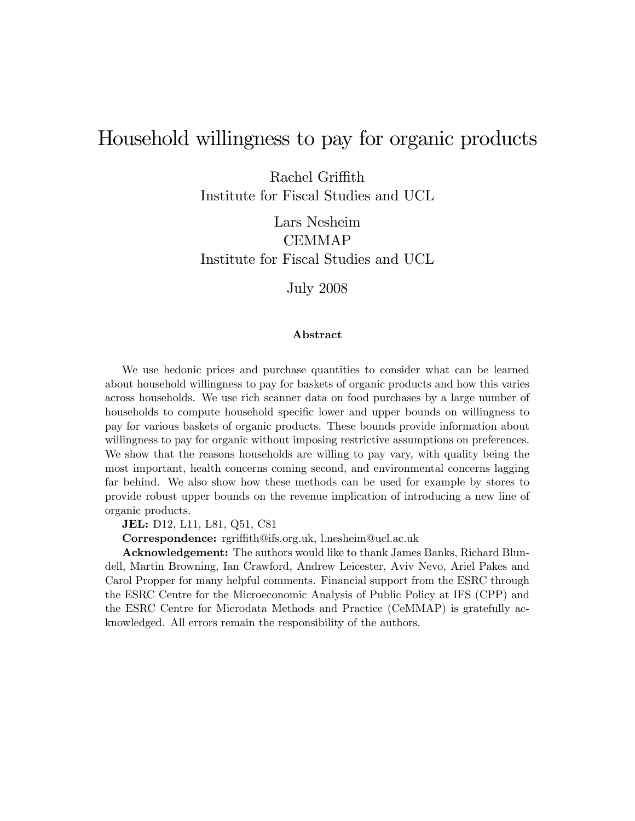# Household willingness to pay for organic products

Rachel Griffith

Institute for Fiscal Studies and UCL

Lars Nesheim CEMMAP Institute for Fiscal Studies and UCL

July 2008

#### Abstract

We use hedonic prices and purchase quantities to consider what can be learned about household willingness to pay for baskets of organic products and how this varies across households. We use rich scanner data on food purchases by a large number of households to compute household specific lower and upper bounds on willingness to pay for various baskets of organic products. These bounds provide information about willingness to pay for organic without imposing restrictive assumptions on preferences. We show that the reasons households are willing to pay vary, with quality being the most important, health concerns coming second, and environmental concerns lagging far behind. We also show how these methods can be used for example by stores to provide robust upper bounds on the revenue implication of introducing a new line of organic products.

JEL: D12, L11, L81, Q51, C81

Correspondence: rgriffith@ifs.org.uk, l.nesheim@ucl.ac.uk

Acknowledgement: The authors would like to thank James Banks, Richard Blundell, Martin Browning, Ian Crawford, Andrew Leicester, Aviv Nevo, Ariel Pakes and Carol Propper for many helpful comments. Financial support from the ESRC through the ESRC Centre for the Microeconomic Analysis of Public Policy at IFS (CPP) and the ESRC Centre for Microdata Methods and Practice (CeMMAP) is gratefully acknowledged. All errors remain the responsibility of the authors.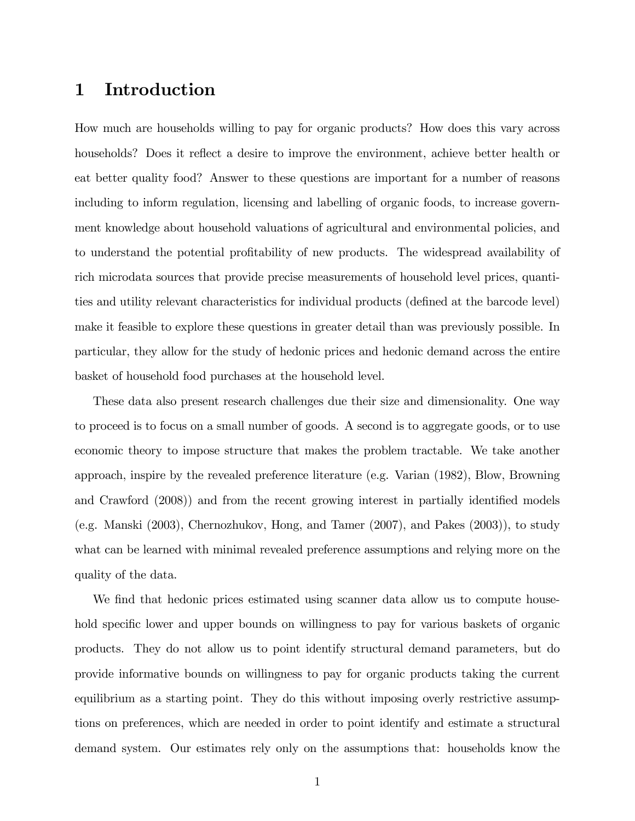# 1 Introduction

How much are households willing to pay for organic products? How does this vary across households? Does it reflect a desire to improve the environment, achieve better health or eat better quality food? Answer to these questions are important for a number of reasons including to inform regulation, licensing and labelling of organic foods, to increase government knowledge about household valuations of agricultural and environmental policies, and to understand the potential profitability of new products. The widespread availability of rich microdata sources that provide precise measurements of household level prices, quantities and utility relevant characteristics for individual products (defined at the barcode level) make it feasible to explore these questions in greater detail than was previously possible. In particular, they allow for the study of hedonic prices and hedonic demand across the entire basket of household food purchases at the household level.

These data also present research challenges due their size and dimensionality. One way to proceed is to focus on a small number of goods. A second is to aggregate goods, or to use economic theory to impose structure that makes the problem tractable. We take another approach, inspire by the revealed preference literature (e.g. Varian (1982), Blow, Browning and Crawford (2008)) and from the recent growing interest in partially identified models (e.g. Manski (2003), Chernozhukov, Hong, and Tamer (2007), and Pakes (2003)), to study what can be learned with minimal revealed preference assumptions and relying more on the quality of the data.

We find that hedonic prices estimated using scanner data allow us to compute household specific lower and upper bounds on willingness to pay for various baskets of organic products. They do not allow us to point identify structural demand parameters, but do provide informative bounds on willingness to pay for organic products taking the current equilibrium as a starting point. They do this without imposing overly restrictive assumptions on preferences, which are needed in order to point identify and estimate a structural demand system. Our estimates rely only on the assumptions that: households know the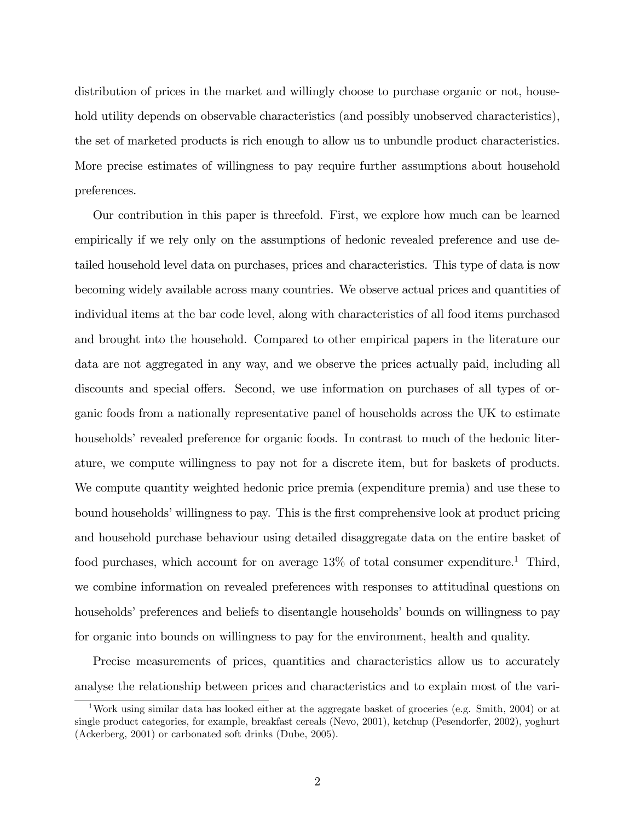distribution of prices in the market and willingly choose to purchase organic or not, household utility depends on observable characteristics (and possibly unobserved characteristics), the set of marketed products is rich enough to allow us to unbundle product characteristics. More precise estimates of willingness to pay require further assumptions about household preferences.

Our contribution in this paper is threefold. First, we explore how much can be learned empirically if we rely only on the assumptions of hedonic revealed preference and use detailed household level data on purchases, prices and characteristics. This type of data is now becoming widely available across many countries. We observe actual prices and quantities of individual items at the bar code level, along with characteristics of all food items purchased and brought into the household. Compared to other empirical papers in the literature our data are not aggregated in any way, and we observe the prices actually paid, including all discounts and special offers. Second, we use information on purchases of all types of organic foods from a nationally representative panel of households across the UK to estimate households' revealed preference for organic foods. In contrast to much of the hedonic literature, we compute willingness to pay not for a discrete item, but for baskets of products. We compute quantity weighted hedonic price premia (expenditure premia) and use these to bound households' willingness to pay. This is the first comprehensive look at product pricing and household purchase behaviour using detailed disaggregate data on the entire basket of food purchases, which account for on average  $13\%$  of total consumer expenditure.<sup>1</sup> Third, we combine information on revealed preferences with responses to attitudinal questions on households' preferences and beliefs to disentangle households' bounds on willingness to pay for organic into bounds on willingness to pay for the environment, health and quality.

Precise measurements of prices, quantities and characteristics allow us to accurately analyse the relationship between prices and characteristics and to explain most of the vari-

<sup>&</sup>lt;sup>1</sup>Work using similar data has looked either at the aggregate basket of groceries (e.g. Smith, 2004) or at single product categories, for example, breakfast cereals (Nevo, 2001), ketchup (Pesendorfer, 2002), yoghurt (Ackerberg, 2001) or carbonated soft drinks (Dube, 2005).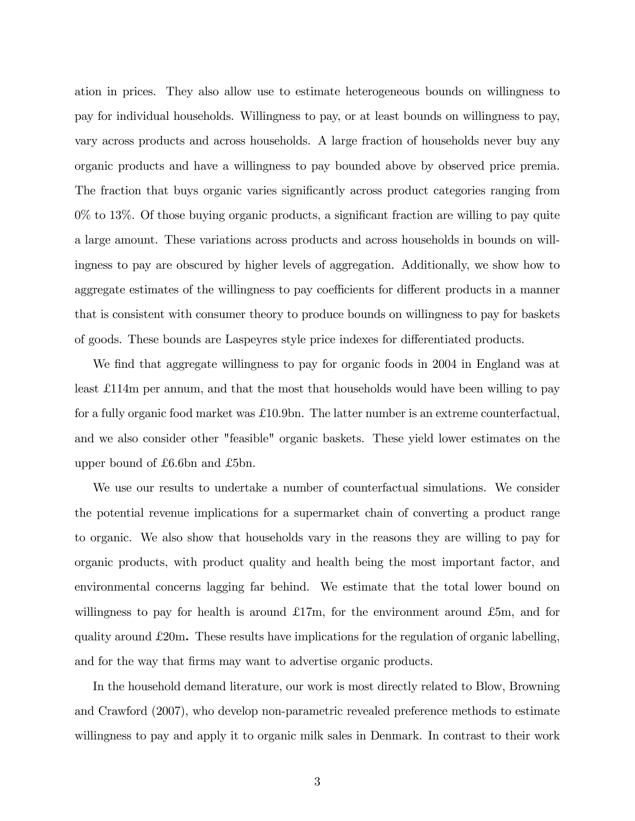ation in prices. They also allow use to estimate heterogeneous bounds on willingness to pay for individual households. Willingness to pay, or at least bounds on willingness to pay, vary across products and across households. A large fraction of households never buy any organic products and have a willingness to pay bounded above by observed price premia. The fraction that buys organic varies significantly across product categories ranging from  $0\%$  to 13%. Of those buying organic products, a significant fraction are willing to pay quite a large amount. These variations across products and across households in bounds on willingness to pay are obscured by higher levels of aggregation. Additionally, we show how to aggregate estimates of the willingness to pay coefficients for different products in a manner that is consistent with consumer theory to produce bounds on willingness to pay for baskets of goods. These bounds are Laspeyres style price indexes for differentiated products.

We find that aggregate willingness to pay for organic foods in 2004 in England was at least £ 114m per annum, and that the most that households would have been willing to pay for a fully organic food market was £10.9bn. The latter number is an extreme counterfactual, and we also consider other "feasible" organic baskets. These yield lower estimates on the upper bound of  $£6.6$ bn and  $£5$ bn.

We use our results to undertake a number of counterfactual simulations. We consider the potential revenue implications for a supermarket chain of converting a product range to organic. We also show that households vary in the reasons they are willing to pay for organic products, with product quality and health being the most important factor, and environmental concerns lagging far behind. We estimate that the total lower bound on willingness to pay for health is around  $\pounds 17m$ , for the environment around  $\pounds 5m$ , and for quality around  $\pounds 20m$ . These results have implications for the regulation of organic labelling, and for the way that firms may want to advertise organic products.

In the household demand literature, our work is most directly related to Blow, Browning and Crawford (2007), who develop non-parametric revealed preference methods to estimate willingness to pay and apply it to organic milk sales in Denmark. In contrast to their work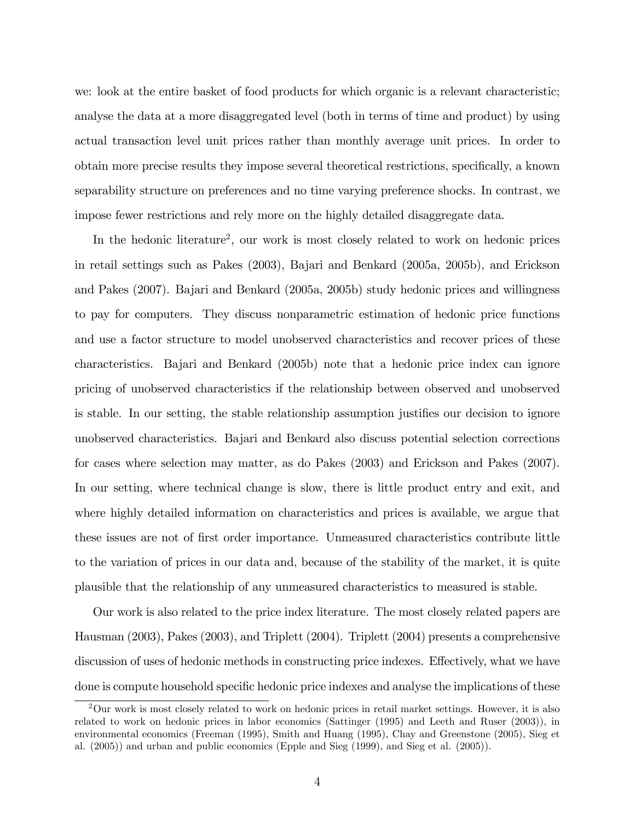we: look at the entire basket of food products for which organic is a relevant characteristic; analyse the data at a more disaggregated level (both in terms of time and product) by using actual transaction level unit prices rather than monthly average unit prices. In order to obtain more precise results they impose several theoretical restrictions, specifically, a known separability structure on preferences and no time varying preference shocks. In contrast, we impose fewer restrictions and rely more on the highly detailed disaggregate data.

In the hedonic literature<sup>2</sup>, our work is most closely related to work on hedonic prices in retail settings such as Pakes (2003), Bajari and Benkard (2005a, 2005b), and Erickson and Pakes (2007). Bajari and Benkard (2005a, 2005b) study hedonic prices and willingness to pay for computers. They discuss nonparametric estimation of hedonic price functions and use a factor structure to model unobserved characteristics and recover prices of these characteristics. Bajari and Benkard (2005b) note that a hedonic price index can ignore pricing of unobserved characteristics if the relationship between observed and unobserved is stable. In our setting, the stable relationship assumption justifies our decision to ignore unobserved characteristics. Bajari and Benkard also discuss potential selection corrections for cases where selection may matter, as do Pakes (2003) and Erickson and Pakes (2007). In our setting, where technical change is slow, there is little product entry and exit, and where highly detailed information on characteristics and prices is available, we argue that these issues are not of Örst order importance. Unmeasured characteristics contribute little to the variation of prices in our data and, because of the stability of the market, it is quite plausible that the relationship of any unmeasured characteristics to measured is stable.

Our work is also related to the price index literature. The most closely related papers are Hausman (2003), Pakes (2003), and Triplett (2004). Triplett (2004) presents a comprehensive discussion of uses of hedonic methods in constructing price indexes. Effectively, what we have done is compute household specific hedonic price indexes and analyse the implications of these

<sup>&</sup>lt;sup>2</sup>Our work is most closely related to work on hedonic prices in retail market settings. However, it is also related to work on hedonic prices in labor economics (Sattinger (1995) and Leeth and Ruser (2003)), in environmental economics (Freeman (1995), Smith and Huang (1995), Chay and Greenstone (2005), Sieg et al. (2005)) and urban and public economics (Epple and Sieg (1999), and Sieg et al. (2005)).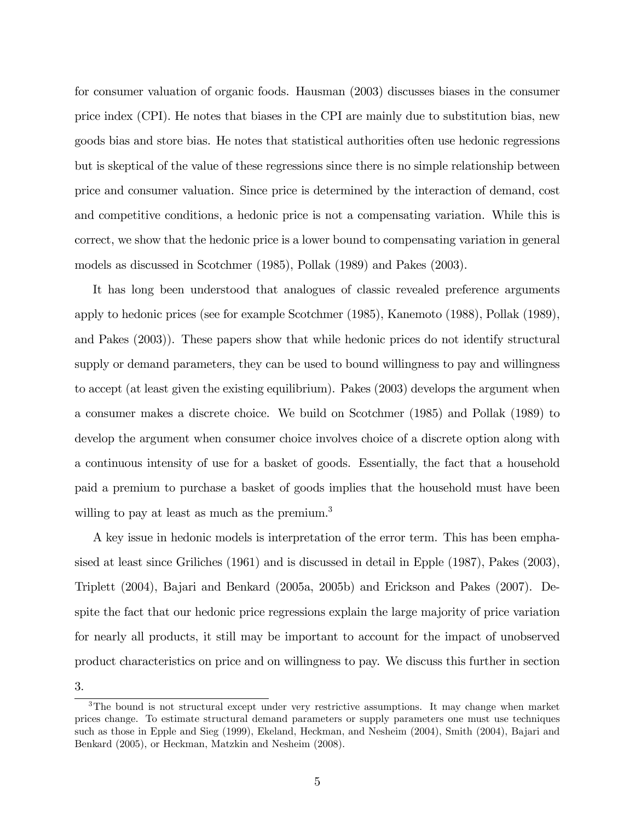for consumer valuation of organic foods. Hausman (2003) discusses biases in the consumer price index (CPI). He notes that biases in the CPI are mainly due to substitution bias, new goods bias and store bias. He notes that statistical authorities often use hedonic regressions but is skeptical of the value of these regressions since there is no simple relationship between price and consumer valuation. Since price is determined by the interaction of demand, cost and competitive conditions, a hedonic price is not a compensating variation. While this is correct, we show that the hedonic price is a lower bound to compensating variation in general models as discussed in Scotchmer (1985), Pollak (1989) and Pakes (2003).

It has long been understood that analogues of classic revealed preference arguments apply to hedonic prices (see for example Scotchmer (1985), Kanemoto (1988), Pollak (1989), and Pakes (2003)). These papers show that while hedonic prices do not identify structural supply or demand parameters, they can be used to bound willingness to pay and willingness to accept (at least given the existing equilibrium). Pakes (2003) develops the argument when a consumer makes a discrete choice. We build on Scotchmer (1985) and Pollak (1989) to develop the argument when consumer choice involves choice of a discrete option along with a continuous intensity of use for a basket of goods. Essentially, the fact that a household paid a premium to purchase a basket of goods implies that the household must have been willing to pay at least as much as the premium.<sup>3</sup>

A key issue in hedonic models is interpretation of the error term. This has been emphasised at least since Griliches (1961) and is discussed in detail in Epple (1987), Pakes (2003), Triplett (2004), Bajari and Benkard (2005a, 2005b) and Erickson and Pakes (2007). Despite the fact that our hedonic price regressions explain the large majority of price variation for nearly all products, it still may be important to account for the impact of unobserved product characteristics on price and on willingness to pay. We discuss this further in section

3.

<sup>&</sup>lt;sup>3</sup>The bound is not structural except under very restrictive assumptions. It may change when market prices change. To estimate structural demand parameters or supply parameters one must use techniques such as those in Epple and Sieg (1999), Ekeland, Heckman, and Nesheim (2004), Smith (2004), Bajari and Benkard (2005), or Heckman, Matzkin and Nesheim (2008).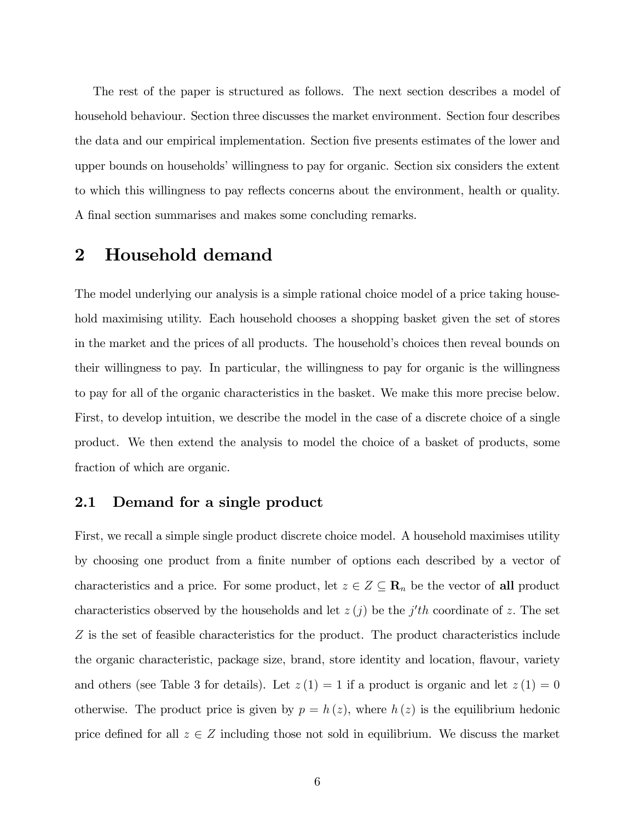The rest of the paper is structured as follows. The next section describes a model of household behaviour. Section three discusses the market environment. Section four describes the data and our empirical implementation. Section five presents estimates of the lower and upper bounds on households' willingness to pay for organic. Section six considers the extent to which this willingness to pay reflects concerns about the environment, health or quality. A final section summarises and makes some concluding remarks.

# 2 Household demand

The model underlying our analysis is a simple rational choice model of a price taking household maximising utility. Each household chooses a shopping basket given the set of stores in the market and the prices of all products. The household's choices then reveal bounds on their willingness to pay. In particular, the willingness to pay for organic is the willingness to pay for all of the organic characteristics in the basket. We make this more precise below. First, to develop intuition, we describe the model in the case of a discrete choice of a single product. We then extend the analysis to model the choice of a basket of products, some fraction of which are organic.

## 2.1 Demand for a single product

First, we recall a simple single product discrete choice model. A household maximises utility by choosing one product from a finite number of options each described by a vector of characteristics and a price. For some product, let  $z \in Z \subseteq \mathbb{R}_n$  be the vector of all product characteristics observed by the households and let  $z(j)$  be the j'th coordinate of z. The set Z is the set of feasible characteristics for the product. The product characteristics include the organic characteristic, package size, brand, store identity and location, flavour, variety and others (see Table 3 for details). Let  $z(1) = 1$  if a product is organic and let  $z(1) = 0$ otherwise. The product price is given by  $p = h(z)$ , where  $h(z)$  is the equilibrium hedonic price defined for all  $z \in Z$  including those not sold in equilibrium. We discuss the market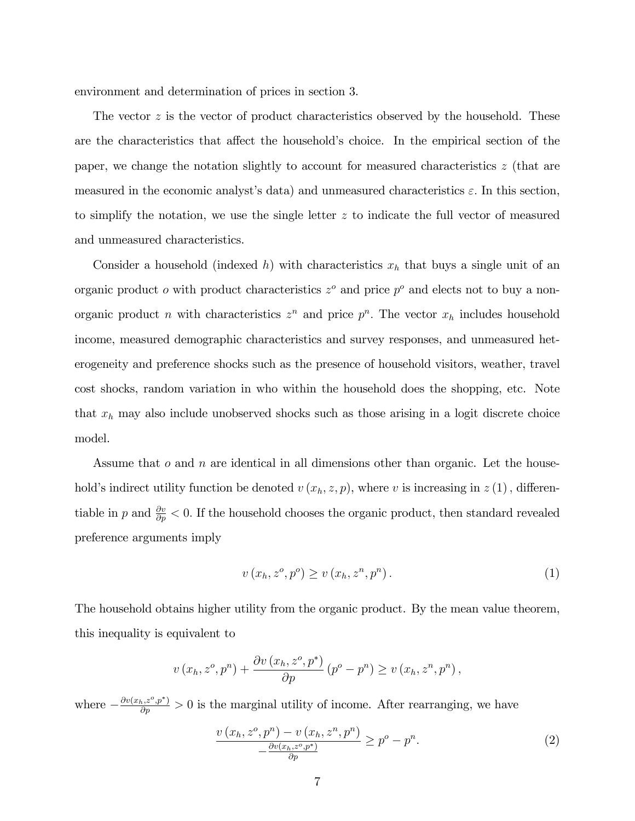environment and determination of prices in section 3.

The vector  $z$  is the vector of product characteristics observed by the household. These are the characteristics that affect the household's choice. In the empirical section of the paper, we change the notation slightly to account for measured characteristics z (that are measured in the economic analyst's data) and unmeasured characteristics  $\varepsilon$ . In this section, to simplify the notation, we use the single letter  $z$  to indicate the full vector of measured and unmeasured characteristics.

Consider a household (indexed h) with characteristics  $x<sub>h</sub>$  that buys a single unit of an organic product  $o$  with product characteristics  $z^o$  and price  $p^o$  and elects not to buy a nonorganic product *n* with characteristics  $z^n$  and price  $p^n$ . The vector  $x_h$  includes household income, measured demographic characteristics and survey responses, and unmeasured heterogeneity and preference shocks such as the presence of household visitors, weather, travel cost shocks, random variation in who within the household does the shopping, etc. Note that  $x_h$  may also include unobserved shocks such as those arising in a logit discrete choice model.

Assume that  $o$  and  $n$  are identical in all dimensions other than organic. Let the household's indirect utility function be denoted  $v(x_h, z, p)$ , where v is increasing in  $z(1)$ , differentiable in p and  $\frac{\partial v}{\partial p} < 0$ . If the household chooses the organic product, then standard revealed preference arguments imply

$$
v(x_h, z^o, p^o) \ge v(x_h, z^n, p^n). \tag{1}
$$

The household obtains higher utility from the organic product. By the mean value theorem, this inequality is equivalent to

$$
v(x_h, z^o, p^n) + \frac{\partial v(x_h, z^o, p^*)}{\partial p} (p^o - p^n) \ge v(x_h, z^n, p^n),
$$

where  $-\frac{\partial v(x_h, z^o, p^*)}{\partial p} > 0$  is the marginal utility of income. After rearranging, we have

$$
\frac{v(x_h, z^o, p^n) - v(x_h, z^n, p^n)}{-\frac{\partial v(x_h, z^o, p^*)}{\partial p}} \ge p^o - p^n.
$$
\n
$$
(2)
$$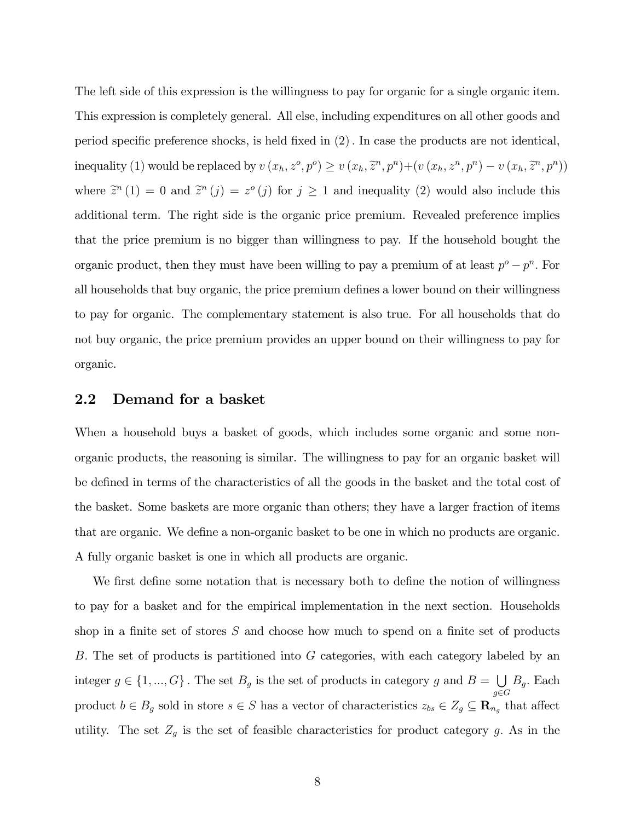The left side of this expression is the willingness to pay for organic for a single organic item. This expression is completely general. All else, including expenditures on all other goods and period specific preference shocks, is held fixed in  $(2)$ . In case the products are not identical, inequality (1) would be replaced by  $v(x_h, z^o, p^o) \ge v(x_h, \tilde{z}^n, p^n) + (v(x_h, z^n, p^n) - v(x_h, \tilde{z}^n, p^n))$ where  $\tilde{z}^n(1) = 0$  and  $\tilde{z}^n(j) = z^o(j)$  for  $j \ge 1$  and inequality (2) would also include this additional term. The right side is the organic price premium. Revealed preference implies that the price premium is no bigger than willingness to pay. If the household bought the organic product, then they must have been willing to pay a premium of at least  $p^o - p^n$ . For all households that buy organic, the price premium defines a lower bound on their willingness to pay for organic. The complementary statement is also true. For all households that do not buy organic, the price premium provides an upper bound on their willingness to pay for organic.

### 2.2 Demand for a basket

When a household buys a basket of goods, which includes some organic and some nonorganic products, the reasoning is similar. The willingness to pay for an organic basket will be defined in terms of the characteristics of all the goods in the basket and the total cost of the basket. Some baskets are more organic than others; they have a larger fraction of items that are organic. We define a non-organic basket to be one in which no products are organic. A fully organic basket is one in which all products are organic.

We first define some notation that is necessary both to define the notion of willingness to pay for a basket and for the empirical implementation in the next section. Households shop in a finite set of stores  $S$  and choose how much to spend on a finite set of products B: The set of products is partitioned into G categories, with each category labeled by an integer  $g \in \{1, ..., G\}$ . The set  $B_g$  is the set of products in category g and  $B = \bigcup_{g \in G} A_g$  $g{\in}G$  $B_g$ . Each product  $b \in B_g$  sold in store  $s \in S$  has a vector of characteristics  $z_{bs} \in Z_g \subseteq \mathbb{R}_{n_g}$  that affect utility. The set  $Z_g$  is the set of feasible characteristics for product category g. As in the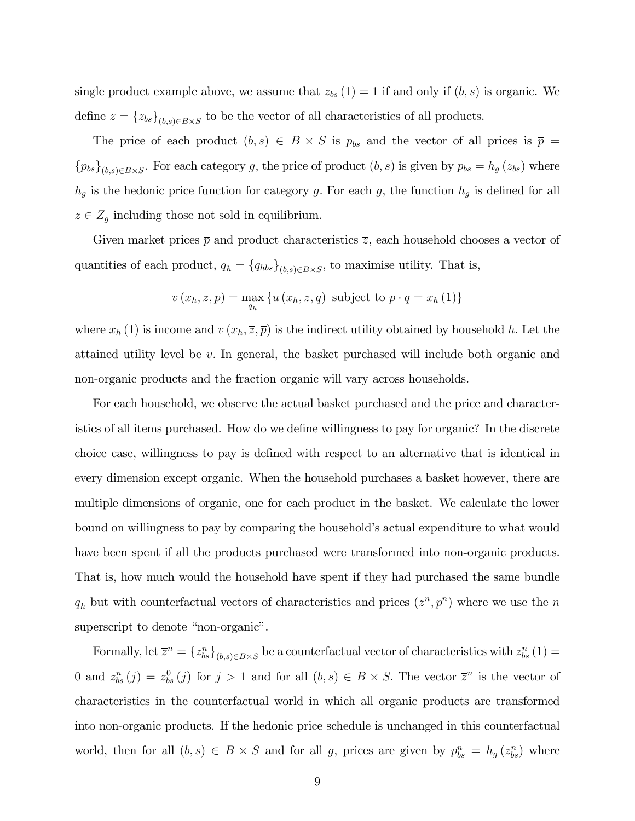single product example above, we assume that  $z_{bs} (1) = 1$  if and only if  $(b, s)$  is organic. We define  $\overline{z} = \{z_{bs}\}_{(b,s)\in B\times S}$  to be the vector of all characteristics of all products.

The price of each product  $(b, s) \in B \times S$  is  $p_{bs}$  and the vector of all prices is  $\bar{p} =$  ${p_{bs}}_{(b,s)\in B\times S}$ . For each category g, the price of product  $(b, s)$  is given by  $p_{bs} = h_g(z_{bs})$  where  $h_g$  is the hedonic price function for category g. For each g, the function  $h_g$  is defined for all  $z \in Z_g$  including those not sold in equilibrium.

Given market prices  $\bar{p}$  and product characteristics  $\bar{z}$ , each household chooses a vector of quantities of each product,  $\overline{q}_h = \{q_{hbs}\}_{(b,s)\in B\times S}$ , to maximise utility. That is,

$$
v(x_h, \overline{z}, \overline{p}) = \max_{\overline{q}_h} \{ u(x_h, \overline{z}, \overline{q}) \text{ subject to } \overline{p} \cdot \overline{q} = x_h(1) \}
$$

where  $x_h(1)$  is income and  $v(x_h, \overline{z}, \overline{p})$  is the indirect utility obtained by household h. Let the attained utility level be  $\bar{v}$ . In general, the basket purchased will include both organic and non-organic products and the fraction organic will vary across households.

For each household, we observe the actual basket purchased and the price and characteristics of all items purchased. How do we define willingness to pay for organic? In the discrete choice case, willingness to pay is defined with respect to an alternative that is identical in every dimension except organic. When the household purchases a basket however, there are multiple dimensions of organic, one for each product in the basket. We calculate the lower bound on willingness to pay by comparing the household's actual expenditure to what would have been spent if all the products purchased were transformed into non-organic products. That is, how much would the household have spent if they had purchased the same bundle  $\overline{q}_h$  but with counterfactual vectors of characteristics and prices  $(\overline{z}^n, \overline{p}^n)$  where we use the n superscript to denote "non-organic".

Formally, let  $\overline{z}^n = \{z_{bs}^n\}_{(b,s)\in B\times S}$  be a counterfactual vector of characteristics with  $z_{bs}^n(1) =$ 0 and  $z_{bs}^n(j) = z_{bs}^0(j)$  for  $j > 1$  and for all  $(b, s) \in B \times S$ . The vector  $\overline{z}^n$  is the vector of characteristics in the counterfactual world in which all organic products are transformed into non-organic products. If the hedonic price schedule is unchanged in this counterfactual world, then for all  $(b, s) \in B \times S$  and for all g, prices are given by  $p_{bs}^n = h_g(z_{bs}^n)$  where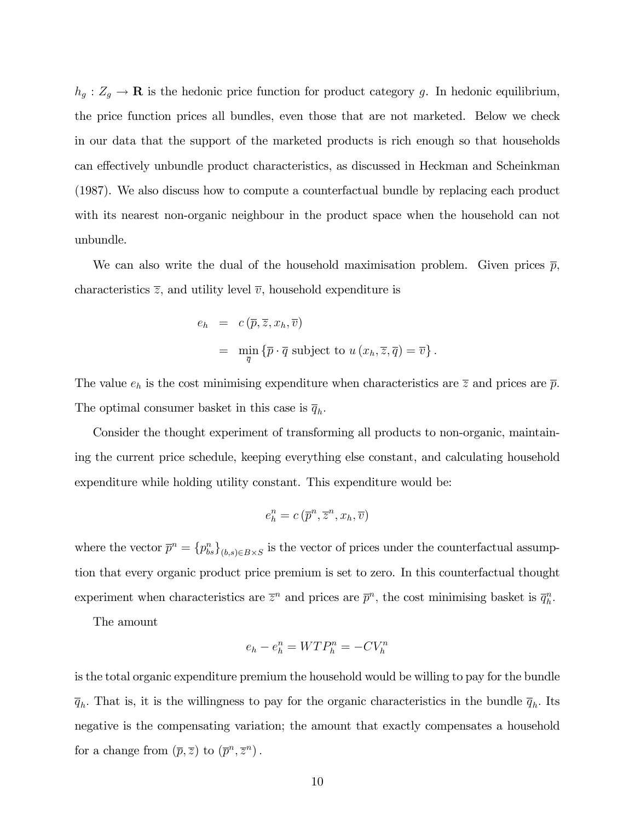$h_g: Z_g \to \mathbf{R}$  is the hedonic price function for product category g. In hedonic equilibrium, the price function prices all bundles, even those that are not marketed. Below we check in our data that the support of the marketed products is rich enough so that households can effectively unbundle product characteristics, as discussed in Heckman and Scheinkman (1987). We also discuss how to compute a counterfactual bundle by replacing each product with its nearest non-organic neighbour in the product space when the household can not unbundle.

We can also write the dual of the household maximisation problem. Given prices  $\bar{p}$ , characteristics  $\overline{z}$ , and utility level  $\overline{v}$ , household expenditure is

$$
e_h = c(\overline{p}, \overline{z}, x_h, \overline{v})
$$
  
=  $\min_{\overline{q}} {\{\overline{p} \cdot \overline{q} \text{ subject to } u(x_h, \overline{z}, \overline{q}) = \overline{v}\}}.$ 

The value  $e_h$  is the cost minimising expenditure when characteristics are  $\overline{z}$  and prices are  $\overline{p}$ . The optimal consumer basket in this case is  $\overline{q}_h$ .

Consider the thought experiment of transforming all products to non-organic, maintaining the current price schedule, keeping everything else constant, and calculating household expenditure while holding utility constant. This expenditure would be:

$$
e_h^n = c\left(\overline{p}^n, \overline{z}^n, x_h, \overline{v}\right)
$$

where the vector  $\overline{p}^n = {\{p_{bs}^n\}}_{(b,s)\in B\times S}$  is the vector of prices under the counterfactual assumption that every organic product price premium is set to zero. In this counterfactual thought experiment when characteristics are  $\bar{z}^n$  and prices are  $\bar{p}^n$ , the cost minimising basket is  $\bar{q}_h^n$ .

The amount

$$
e_h - e_h^n = WTP_h^n = -CV_h^n
$$

is the total organic expenditure premium the household would be willing to pay for the bundle  $\overline{q}_h$ . That is, it is the willingness to pay for the organic characteristics in the bundle  $\overline{q}_h$ . Its negative is the compensating variation; the amount that exactly compensates a household for a change from  $(\overline{p}, \overline{z})$  to  $(\overline{p}^n, \overline{z}^n)$ .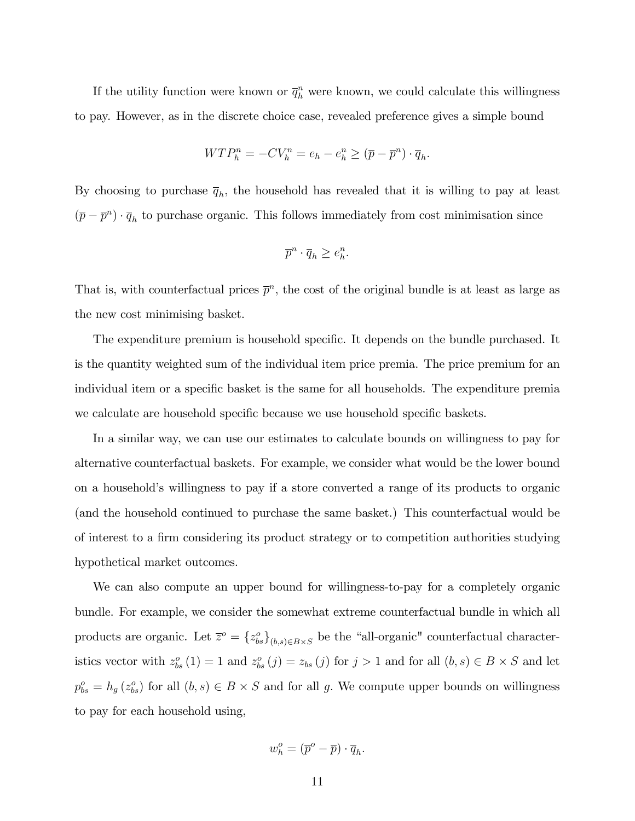If the utility function were known or  $\bar{q}_h^n$  were known, we could calculate this willingness to pay. However, as in the discrete choice case, revealed preference gives a simple bound

$$
WTP_h^n = -CV_h^n = e_h - e_h^n \geq (\overline{p} - \overline{p}^n) \cdot \overline{q}_h.
$$

By choosing to purchase  $\bar{q}_h$ , the household has revealed that it is willing to pay at least  $(\bar{p} - \bar{p}^n) \cdot \bar{q}_h$  to purchase organic. This follows immediately from cost minimisation since

$$
\overline{p}^n \cdot \overline{q}_h \ge e_h^n.
$$

That is, with counterfactual prices  $\bar{p}^n$ , the cost of the original bundle is at least as large as the new cost minimising basket.

The expenditure premium is household specific. It depends on the bundle purchased. It is the quantity weighted sum of the individual item price premia. The price premium for an individual item or a specific basket is the same for all households. The expenditure premia we calculate are household specific because we use household specific baskets.

In a similar way, we can use our estimates to calculate bounds on willingness to pay for alternative counterfactual baskets. For example, we consider what would be the lower bound on a household's willingness to pay if a store converted a range of its products to organic (and the household continued to purchase the same basket.) This counterfactual would be of interest to a firm considering its product strategy or to competition authorities studying hypothetical market outcomes.

We can also compute an upper bound for willingness-to-pay for a completely organic bundle. For example, we consider the somewhat extreme counterfactual bundle in which all products are organic. Let  $\overline{z}^o = \{z_{bs}^o\}_{(b,s)\in B\times S}$  be the "all-organic" counterfactual characteristics vector with  $z_{bs}^o(1) = 1$  and  $z_{bs}^o(j) = z_{bs}(j)$  for  $j > 1$  and for all  $(b, s) \in B \times S$  and let  $p_{bs}^o = h_g(z_{bs}^o)$  for all  $(b, s) \in B \times S$  and for all g. We compute upper bounds on willingness to pay for each household using,

$$
w_h^o = (\overline{p}^o - \overline{p}) \cdot \overline{q}_h.
$$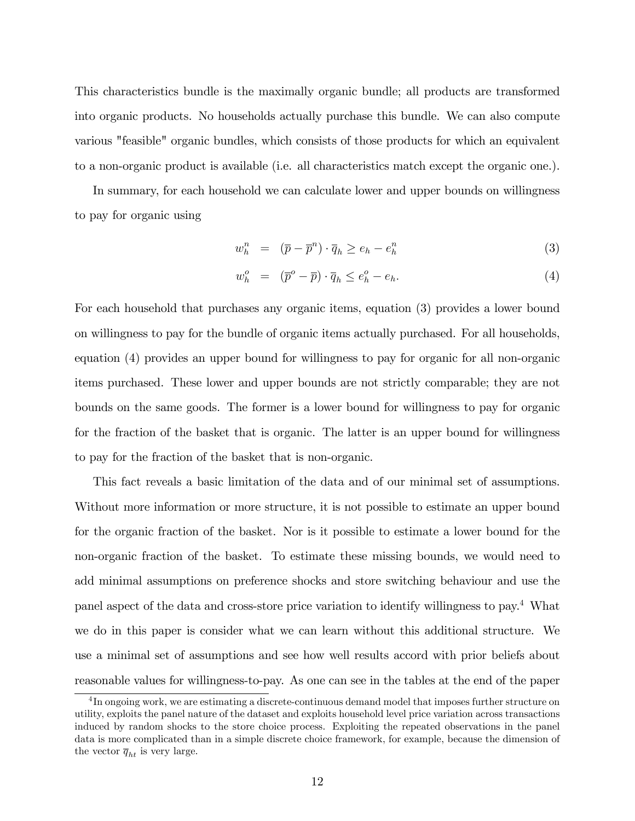This characteristics bundle is the maximally organic bundle; all products are transformed into organic products. No households actually purchase this bundle. We can also compute various "feasible" organic bundles, which consists of those products for which an equivalent to a non-organic product is available (i.e. all characteristics match except the organic one.).

In summary, for each household we can calculate lower and upper bounds on willingness to pay for organic using

$$
w_h^n = (\overline{p} - \overline{p}^n) \cdot \overline{q}_h \ge e_h - e_h^n \tag{3}
$$

$$
w_h^o = (\overline{p}^o - \overline{p}) \cdot \overline{q}_h \le e_h^o - e_h. \tag{4}
$$

For each household that purchases any organic items, equation (3) provides a lower bound on willingness to pay for the bundle of organic items actually purchased. For all households, equation (4) provides an upper bound for willingness to pay for organic for all non-organic items purchased. These lower and upper bounds are not strictly comparable; they are not bounds on the same goods. The former is a lower bound for willingness to pay for organic for the fraction of the basket that is organic. The latter is an upper bound for willingness to pay for the fraction of the basket that is non-organic.

This fact reveals a basic limitation of the data and of our minimal set of assumptions. Without more information or more structure, it is not possible to estimate an upper bound for the organic fraction of the basket. Nor is it possible to estimate a lower bound for the non-organic fraction of the basket. To estimate these missing bounds, we would need to add minimal assumptions on preference shocks and store switching behaviour and use the panel aspect of the data and cross-store price variation to identify willingness to pay.<sup>4</sup> What we do in this paper is consider what we can learn without this additional structure. We use a minimal set of assumptions and see how well results accord with prior beliefs about reasonable values for willingness-to-pay. As one can see in the tables at the end of the paper

<sup>&</sup>lt;sup>4</sup>In ongoing work, we are estimating a discrete-continuous demand model that imposes further structure on utility, exploits the panel nature of the dataset and exploits household level price variation across transactions induced by random shocks to the store choice process. Exploiting the repeated observations in the panel data is more complicated than in a simple discrete choice framework, for example, because the dimension of the vector  $\overline{q}_{ht}$  is very large.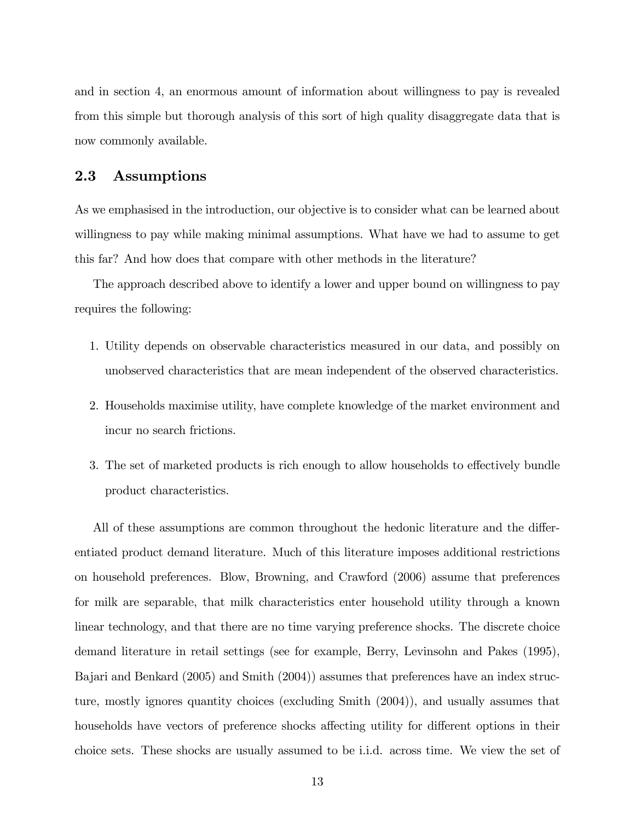and in section 4, an enormous amount of information about willingness to pay is revealed from this simple but thorough analysis of this sort of high quality disaggregate data that is now commonly available.

### 2.3 Assumptions

As we emphasised in the introduction, our objective is to consider what can be learned about willingness to pay while making minimal assumptions. What have we had to assume to get this far? And how does that compare with other methods in the literature?

The approach described above to identify a lower and upper bound on willingness to pay requires the following:

- 1. Utility depends on observable characteristics measured in our data, and possibly on unobserved characteristics that are mean independent of the observed characteristics.
- 2. Households maximise utility, have complete knowledge of the market environment and incur no search frictions.
- 3. The set of marketed products is rich enough to allow households to effectively bundle product characteristics.

All of these assumptions are common throughout the hedonic literature and the differentiated product demand literature. Much of this literature imposes additional restrictions on household preferences. Blow, Browning, and Crawford (2006) assume that preferences for milk are separable, that milk characteristics enter household utility through a known linear technology, and that there are no time varying preference shocks. The discrete choice demand literature in retail settings (see for example, Berry, Levinsohn and Pakes (1995), Bajari and Benkard (2005) and Smith (2004)) assumes that preferences have an index structure, mostly ignores quantity choices (excluding Smith (2004)), and usually assumes that households have vectors of preference shocks affecting utility for different options in their choice sets. These shocks are usually assumed to be i.i.d. across time. We view the set of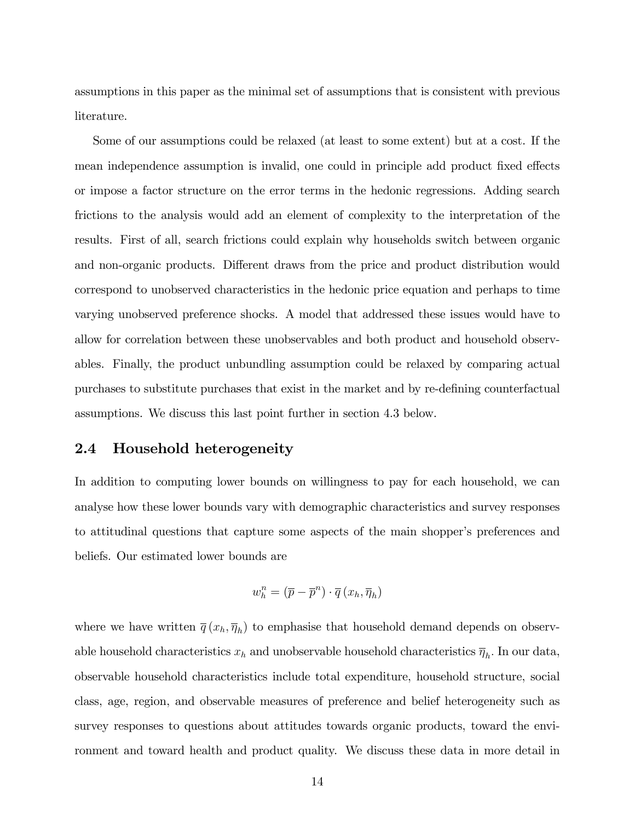assumptions in this paper as the minimal set of assumptions that is consistent with previous literature.

Some of our assumptions could be relaxed (at least to some extent) but at a cost. If the mean independence assumption is invalid, one could in principle add product fixed effects or impose a factor structure on the error terms in the hedonic regressions. Adding search frictions to the analysis would add an element of complexity to the interpretation of the results. First of all, search frictions could explain why households switch between organic and non-organic products. Different draws from the price and product distribution would correspond to unobserved characteristics in the hedonic price equation and perhaps to time varying unobserved preference shocks. A model that addressed these issues would have to allow for correlation between these unobservables and both product and household observables. Finally, the product unbundling assumption could be relaxed by comparing actual purchases to substitute purchases that exist in the market and by re-defining counterfactual assumptions. We discuss this last point further in section 4.3 below.

### 2.4 Household heterogeneity

In addition to computing lower bounds on willingness to pay for each household, we can analyse how these lower bounds vary with demographic characteristics and survey responses to attitudinal questions that capture some aspects of the main shopper's preferences and beliefs. Our estimated lower bounds are

$$
w_h^n = (\overline{p} - \overline{p}^n) \cdot \overline{q} (x_h, \overline{\eta}_h)
$$

where we have written  $\overline{q}(x_h, \overline{\eta}_h)$  to emphasise that household demand depends on observable household characteristics  $x_h$  and unobservable household characteristics  $\overline{\eta}_h$ . In our data, observable household characteristics include total expenditure, household structure, social class, age, region, and observable measures of preference and belief heterogeneity such as survey responses to questions about attitudes towards organic products, toward the environment and toward health and product quality. We discuss these data in more detail in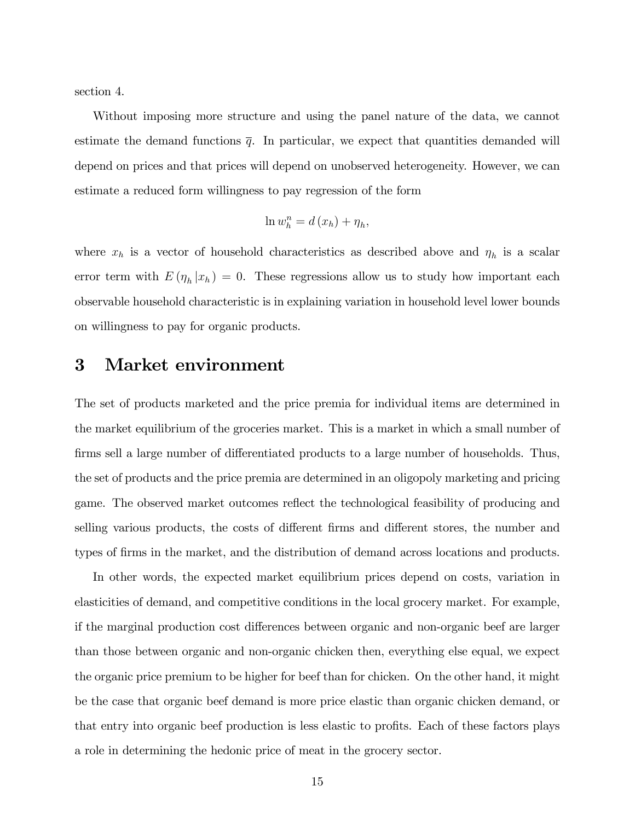section 4.

Without imposing more structure and using the panel nature of the data, we cannot estimate the demand functions  $\bar{q}$ . In particular, we expect that quantities demanded will depend on prices and that prices will depend on unobserved heterogeneity. However, we can estimate a reduced form willingness to pay regression of the form

$$
\ln w_h^n = d(x_h) + \eta_h,
$$

where  $x_h$  is a vector of household characteristics as described above and  $\eta_h$  is a scalar error term with  $E(\eta_h|x_h) = 0$ . These regressions allow us to study how important each observable household characteristic is in explaining variation in household level lower bounds on willingness to pay for organic products.

# 3 Market environment

The set of products marketed and the price premia for individual items are determined in the market equilibrium of the groceries market. This is a market in which a small number of firms sell a large number of differentiated products to a large number of households. Thus, the set of products and the price premia are determined in an oligopoly marketing and pricing game. The observed market outcomes reflect the technological feasibility of producing and selling various products, the costs of different firms and different stores, the number and types of firms in the market, and the distribution of demand across locations and products.

In other words, the expected market equilibrium prices depend on costs, variation in elasticities of demand, and competitive conditions in the local grocery market. For example, if the marginal production cost differences between organic and non-organic beef are larger than those between organic and non-organic chicken then, everything else equal, we expect the organic price premium to be higher for beef than for chicken. On the other hand, it might be the case that organic beef demand is more price elastic than organic chicken demand, or that entry into organic beef production is less elastic to profits. Each of these factors plays a role in determining the hedonic price of meat in the grocery sector.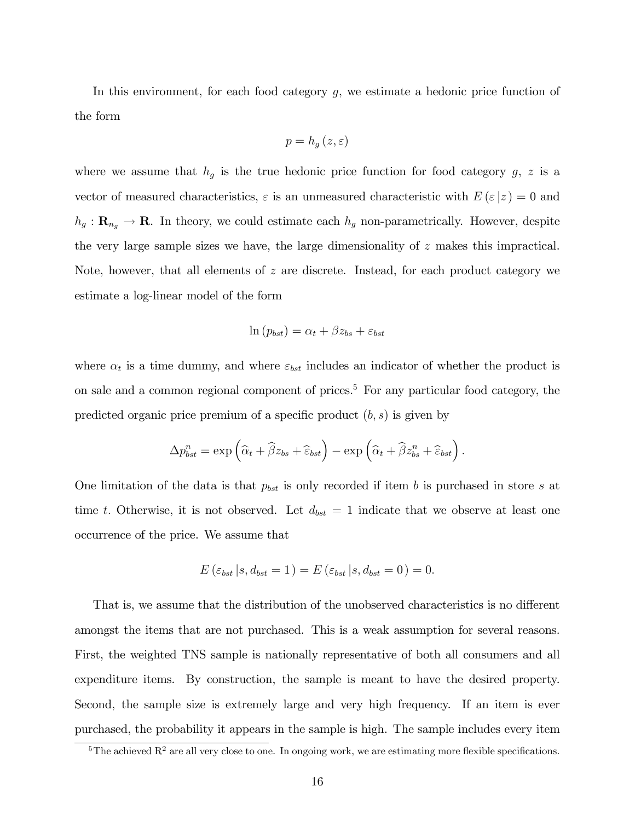In this environment, for each food category  $g$ , we estimate a hedonic price function of the form

$$
p=h_g\left(z,\varepsilon\right)
$$

where we assume that  $h_g$  is the true hedonic price function for food category  $g, z$  is a vector of measured characteristics,  $\varepsilon$  is an unmeasured characteristic with  $E(\varepsilon|z) = 0$  and  $h_g: \mathbf{R}_{n_g} \to \mathbf{R}$ . In theory, we could estimate each  $h_g$  non-parametrically. However, despite the very large sample sizes we have, the large dimensionality of z makes this impractical. Note, however, that all elements of z are discrete. Instead, for each product category we estimate a log-linear model of the form

$$
\ln(p_{bst}) = \alpha_t + \beta z_{bs} + \varepsilon_{bst}
$$

where  $\alpha_t$  is a time dummy, and where  $\varepsilon_{bst}$  includes an indicator of whether the product is on sale and a common regional component of prices.<sup>5</sup> For any particular food category, the predicted organic price premium of a specific product  $(b, s)$  is given by

$$
\Delta p_{bst}^n = \exp\left(\widehat{\alpha}_t + \widehat{\beta}z_{bs} + \widehat{\varepsilon}_{bst}\right) - \exp\left(\widehat{\alpha}_t + \widehat{\beta}z_{bs}^n + \widehat{\varepsilon}_{bst}\right).
$$

One limitation of the data is that  $p_{bst}$  is only recorded if item b is purchased in store s at time t. Otherwise, it is not observed. Let  $d_{bst} = 1$  indicate that we observe at least one occurrence of the price. We assume that

$$
E\left(\varepsilon_{bst}\left|s,d_{bst}=1\right.\right)=E\left(\varepsilon_{bst}\left|s,d_{bst}=0\right.\right)=0.
$$

That is, we assume that the distribution of the unobserved characteristics is no different amongst the items that are not purchased. This is a weak assumption for several reasons. First, the weighted TNS sample is nationally representative of both all consumers and all expenditure items. By construction, the sample is meant to have the desired property. Second, the sample size is extremely large and very high frequency. If an item is ever purchased, the probability it appears in the sample is high. The sample includes every item

 $\overline{5}$ The achieved R<sup>2</sup> are all very close to one. In ongoing work, we are estimating more flexible specifications.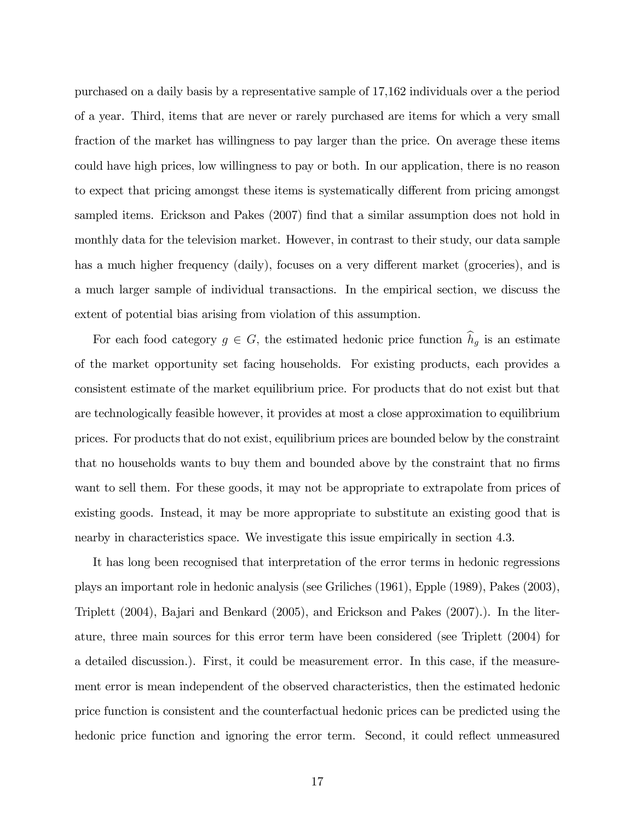purchased on a daily basis by a representative sample of 17,162 individuals over a the period of a year. Third, items that are never or rarely purchased are items for which a very small fraction of the market has willingness to pay larger than the price. On average these items could have high prices, low willingness to pay or both. In our application, there is no reason to expect that pricing amongst these items is systematically different from pricing amongst sampled items. Erickson and Pakes (2007) find that a similar assumption does not hold in monthly data for the television market. However, in contrast to their study, our data sample has a much higher frequency (daily), focuses on a very different market (groceries), and is a much larger sample of individual transactions. In the empirical section, we discuss the extent of potential bias arising from violation of this assumption.

For each food category  $g \in G$ , the estimated hedonic price function  $\widehat{h}_g$  is an estimate of the market opportunity set facing households. For existing products, each provides a consistent estimate of the market equilibrium price. For products that do not exist but that are technologically feasible however, it provides at most a close approximation to equilibrium prices. For products that do not exist, equilibrium prices are bounded below by the constraint that no households wants to buy them and bounded above by the constraint that no firms want to sell them. For these goods, it may not be appropriate to extrapolate from prices of existing goods. Instead, it may be more appropriate to substitute an existing good that is nearby in characteristics space. We investigate this issue empirically in section 4.3.

It has long been recognised that interpretation of the error terms in hedonic regressions plays an important role in hedonic analysis (see Griliches (1961), Epple (1989), Pakes (2003), Triplett (2004), Bajari and Benkard (2005), and Erickson and Pakes (2007).). In the literature, three main sources for this error term have been considered (see Triplett (2004) for a detailed discussion.). First, it could be measurement error. In this case, if the measurement error is mean independent of the observed characteristics, then the estimated hedonic price function is consistent and the counterfactual hedonic prices can be predicted using the hedonic price function and ignoring the error term. Second, it could reflect unmeasured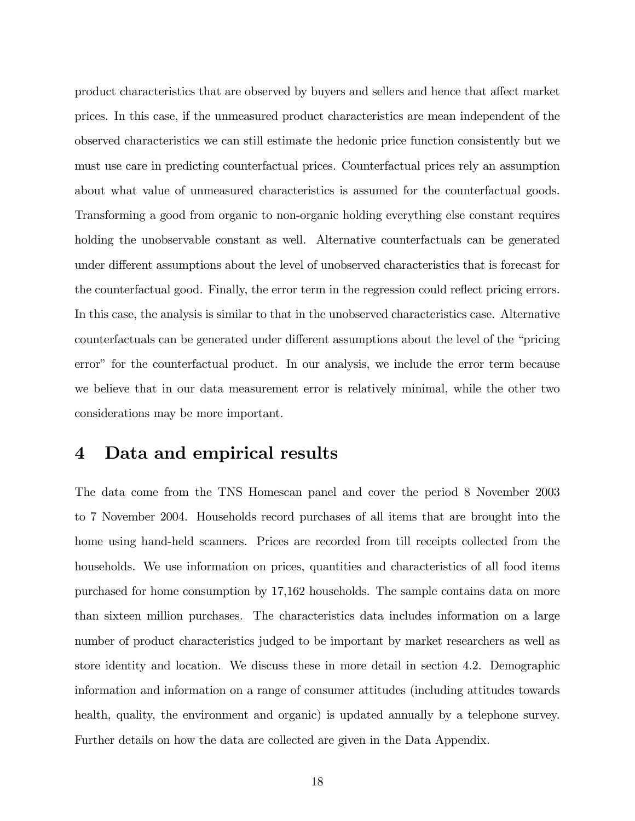product characteristics that are observed by buyers and sellers and hence that affect market prices. In this case, if the unmeasured product characteristics are mean independent of the observed characteristics we can still estimate the hedonic price function consistently but we must use care in predicting counterfactual prices. Counterfactual prices rely an assumption about what value of unmeasured characteristics is assumed for the counterfactual goods. Transforming a good from organic to non-organic holding everything else constant requires holding the unobservable constant as well. Alternative counterfactuals can be generated under different assumptions about the level of unobserved characteristics that is forecast for the counterfactual good. Finally, the error term in the regression could reflect pricing errors. In this case, the analysis is similar to that in the unobserved characteristics case. Alternative counterfactuals can be generated under different assumptions about the level of the "pricing" error" for the counterfactual product. In our analysis, we include the error term because we believe that in our data measurement error is relatively minimal, while the other two considerations may be more important.

# 4 Data and empirical results

The data come from the TNS Homescan panel and cover the period 8 November 2003 to 7 November 2004. Households record purchases of all items that are brought into the home using hand-held scanners. Prices are recorded from till receipts collected from the households. We use information on prices, quantities and characteristics of all food items purchased for home consumption by 17,162 households. The sample contains data on more than sixteen million purchases. The characteristics data includes information on a large number of product characteristics judged to be important by market researchers as well as store identity and location. We discuss these in more detail in section 4.2. Demographic information and information on a range of consumer attitudes (including attitudes towards health, quality, the environment and organic) is updated annually by a telephone survey. Further details on how the data are collected are given in the Data Appendix.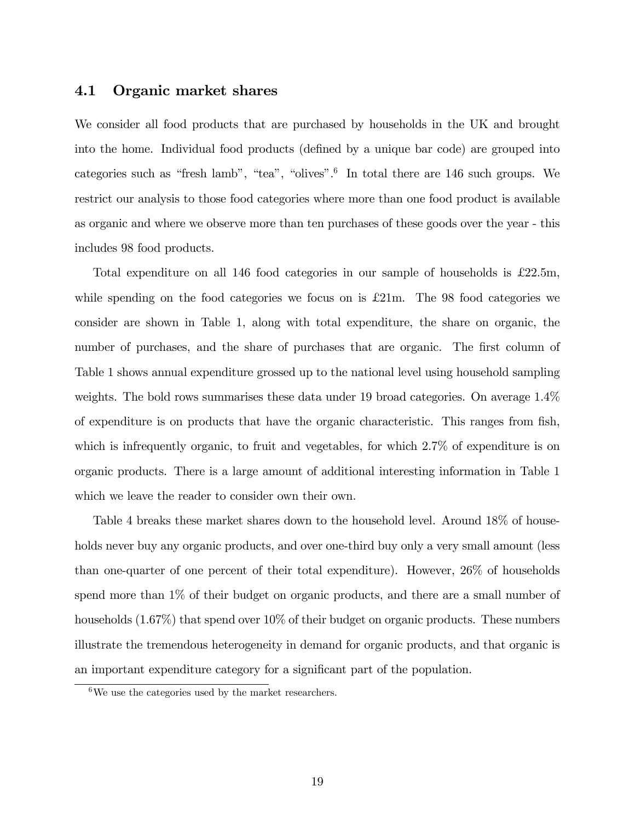### 4.1 Organic market shares

We consider all food products that are purchased by households in the UK and brought into the home. Individual food products (defined by a unique bar code) are grouped into categories such as "fresh lamb", "tea", "olives".<sup>6</sup> In total there are  $146$  such groups. We restrict our analysis to those food categories where more than one food product is available as organic and where we observe more than ten purchases of these goods over the year - this includes 98 food products.

Total expenditure on all 146 food categories in our sample of households is  $\pounds 22.5m$ , while spending on the food categories we focus on is  $\pounds 21m$ . The 98 food categories we consider are shown in Table 1, along with total expenditure, the share on organic, the number of purchases, and the share of purchases that are organic. The first column of Table 1 shows annual expenditure grossed up to the national level using household sampling weights. The bold rows summarises these data under 19 broad categories. On average 1.4% of expenditure is on products that have the organic characteristic. This ranges from Ösh, which is infrequently organic, to fruit and vegetables, for which 2.7% of expenditure is on organic products. There is a large amount of additional interesting information in Table 1 which we leave the reader to consider own their own.

Table 4 breaks these market shares down to the household level. Around 18% of households never buy any organic products, and over one-third buy only a very small amount (less than one-quarter of one percent of their total expenditure). However, 26% of households spend more than 1% of their budget on organic products, and there are a small number of households  $(1.67\%)$  that spend over  $10\%$  of their budget on organic products. These numbers illustrate the tremendous heterogeneity in demand for organic products, and that organic is an important expenditure category for a significant part of the population.

 $6\text{We}$  use the categories used by the market researchers.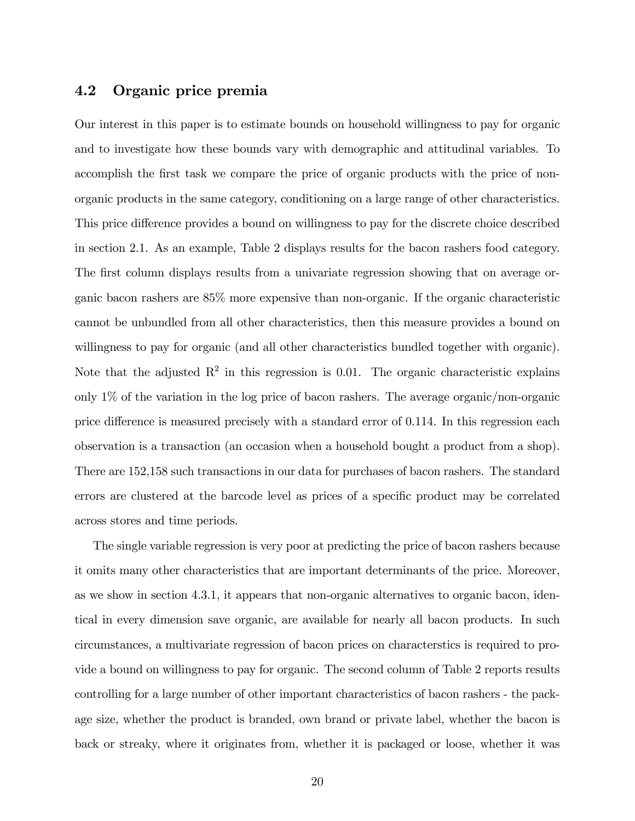## 4.2 Organic price premia

Our interest in this paper is to estimate bounds on household willingness to pay for organic and to investigate how these bounds vary with demographic and attitudinal variables. To accomplish the first task we compare the price of organic products with the price of nonorganic products in the same category, conditioning on a large range of other characteristics. This price difference provides a bound on willingness to pay for the discrete choice described in section 2.1. As an example, Table 2 displays results for the bacon rashers food category. The first column displays results from a univariate regression showing that on average organic bacon rashers are 85% more expensive than non-organic. If the organic characteristic cannot be unbundled from all other characteristics, then this measure provides a bound on willingness to pay for organic (and all other characteristics bundled together with organic). Note that the adjusted  $\mathbb{R}^2$  in this regression is 0.01. The organic characteristic explains only 1% of the variation in the log price of bacon rashers. The average organic/non-organic price difference is measured precisely with a standard error of  $0.114$ . In this regression each observation is a transaction (an occasion when a household bought a product from a shop). There are 152,158 such transactions in our data for purchases of bacon rashers. The standard errors are clustered at the barcode level as prices of a specific product may be correlated across stores and time periods.

The single variable regression is very poor at predicting the price of bacon rashers because it omits many other characteristics that are important determinants of the price. Moreover, as we show in section 4.3.1, it appears that non-organic alternatives to organic bacon, identical in every dimension save organic, are available for nearly all bacon products. In such circumstances, a multivariate regression of bacon prices on characterstics is required to provide a bound on willingness to pay for organic. The second column of Table 2 reports results controlling for a large number of other important characteristics of bacon rashers - the package size, whether the product is branded, own brand or private label, whether the bacon is back or streaky, where it originates from, whether it is packaged or loose, whether it was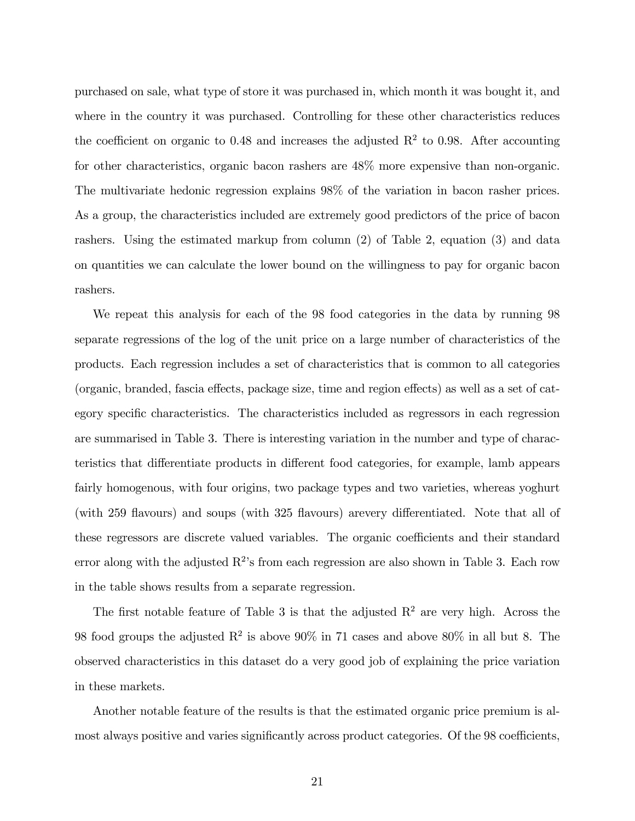purchased on sale, what type of store it was purchased in, which month it was bought it, and where in the country it was purchased. Controlling for these other characteristics reduces the coefficient on organic to 0.48 and increases the adjusted  $\mathbb{R}^2$  to 0.98. After accounting for other characteristics, organic bacon rashers are 48% more expensive than non-organic. The multivariate hedonic regression explains 98% of the variation in bacon rasher prices. As a group, the characteristics included are extremely good predictors of the price of bacon rashers. Using the estimated markup from column (2) of Table 2, equation (3) and data on quantities we can calculate the lower bound on the willingness to pay for organic bacon rashers.

We repeat this analysis for each of the 98 food categories in the data by running 98 separate regressions of the log of the unit price on a large number of characteristics of the products. Each regression includes a set of characteristics that is common to all categories (organic, branded, fascia effects, package size, time and region effects) as well as a set of category specific characteristics. The characteristics included as regressors in each regression are summarised in Table 3. There is interesting variation in the number and type of characteristics that differentiate products in different food categories, for example, lamb appears fairly homogenous, with four origins, two package types and two varieties, whereas yoghurt (with 259 flavours) and soups (with 325 flavours) arevery differentiated. Note that all of these regressors are discrete valued variables. The organic coefficients and their standard error along with the adjusted  $R^2$ 's from each regression are also shown in Table 3. Each row in the table shows results from a separate regression.

The first notable feature of Table 3 is that the adjusted  $R^2$  are very high. Across the 98 food groups the adjusted  $\mathbb{R}^2$  is above 90% in 71 cases and above 80% in all but 8. The observed characteristics in this dataset do a very good job of explaining the price variation in these markets.

Another notable feature of the results is that the estimated organic price premium is almost always positive and varies significantly across product categories. Of the 98 coefficients,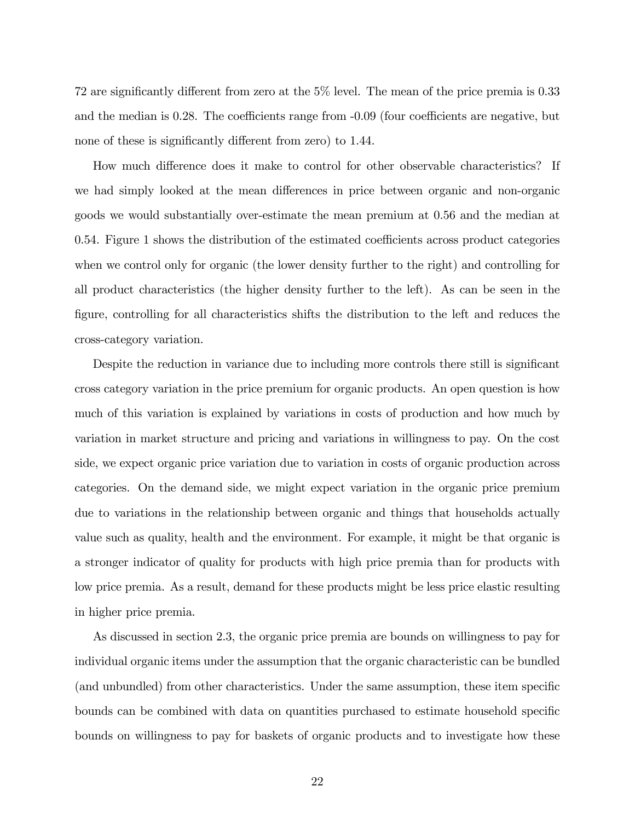72 are significantly different from zero at the  $5\%$  level. The mean of the price premia is 0.33 and the median is  $0.28$ . The coefficients range from  $-0.09$  (four coefficients are negative, but none of these is significantly different from zero) to 1.44.

How much difference does it make to control for other observable characteristics? If we had simply looked at the mean differences in price between organic and non-organic goods we would substantially over-estimate the mean premium at 0.56 and the median at  $0.54$ . Figure 1 shows the distribution of the estimated coefficients across product categories when we control only for organic (the lower density further to the right) and controlling for all product characteristics (the higher density further to the left). As can be seen in the Ögure, controlling for all characteristics shifts the distribution to the left and reduces the cross-category variation.

Despite the reduction in variance due to including more controls there still is significant cross category variation in the price premium for organic products. An open question is how much of this variation is explained by variations in costs of production and how much by variation in market structure and pricing and variations in willingness to pay. On the cost side, we expect organic price variation due to variation in costs of organic production across categories. On the demand side, we might expect variation in the organic price premium due to variations in the relationship between organic and things that households actually value such as quality, health and the environment. For example, it might be that organic is a stronger indicator of quality for products with high price premia than for products with low price premia. As a result, demand for these products might be less price elastic resulting in higher price premia.

As discussed in section 2.3, the organic price premia are bounds on willingness to pay for individual organic items under the assumption that the organic characteristic can be bundled (and unbundled) from other characteristics. Under the same assumption, these item specific bounds can be combined with data on quantities purchased to estimate household specific bounds on willingness to pay for baskets of organic products and to investigate how these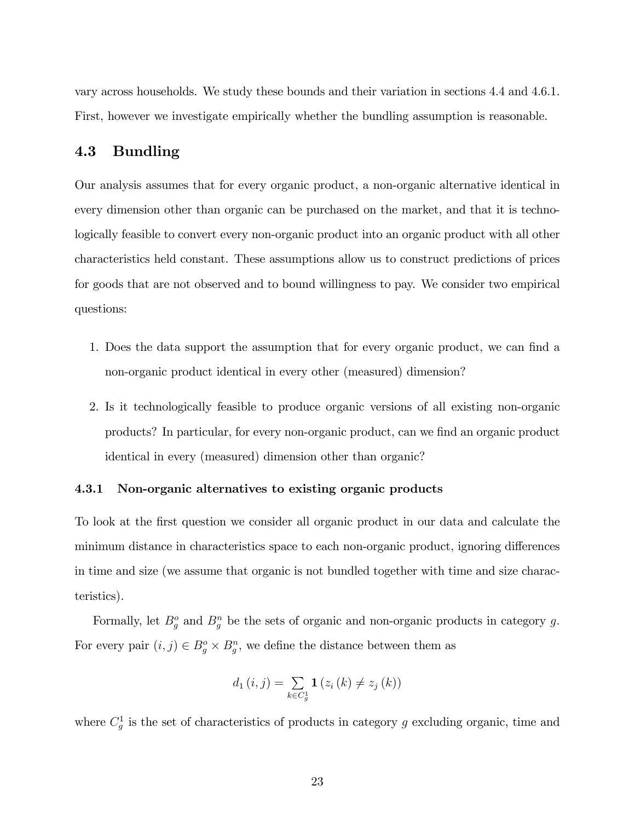vary across households. We study these bounds and their variation in sections 4.4 and 4.6.1. First, however we investigate empirically whether the bundling assumption is reasonable.

## 4.3 Bundling

Our analysis assumes that for every organic product, a non-organic alternative identical in every dimension other than organic can be purchased on the market, and that it is technologically feasible to convert every non-organic product into an organic product with all other characteristics held constant. These assumptions allow us to construct predictions of prices for goods that are not observed and to bound willingness to pay. We consider two empirical questions:

- 1. Does the data support the assumption that for every organic product, we can find a non-organic product identical in every other (measured) dimension?
- 2. Is it technologically feasible to produce organic versions of all existing non-organic products? In particular, for every non-organic product, can we Önd an organic product identical in every (measured) dimension other than organic?

#### 4.3.1 Non-organic alternatives to existing organic products

To look at the first question we consider all organic product in our data and calculate the minimum distance in characteristics space to each non-organic product, ignoring differences in time and size (we assume that organic is not bundled together with time and size characteristics).

Formally, let  $B_g^o$  and  $B_g^n$  be the sets of organic and non-organic products in category g. For every pair  $(i, j) \in B_g^o \times B_g^n$ , we define the distance between them as

$$
d_1(i, j) = \sum_{k \in C_g^1} \mathbf{1}(z_i(k) \neq z_j(k))
$$

where  $C_g^1$  is the set of characteristics of products in category g excluding organic, time and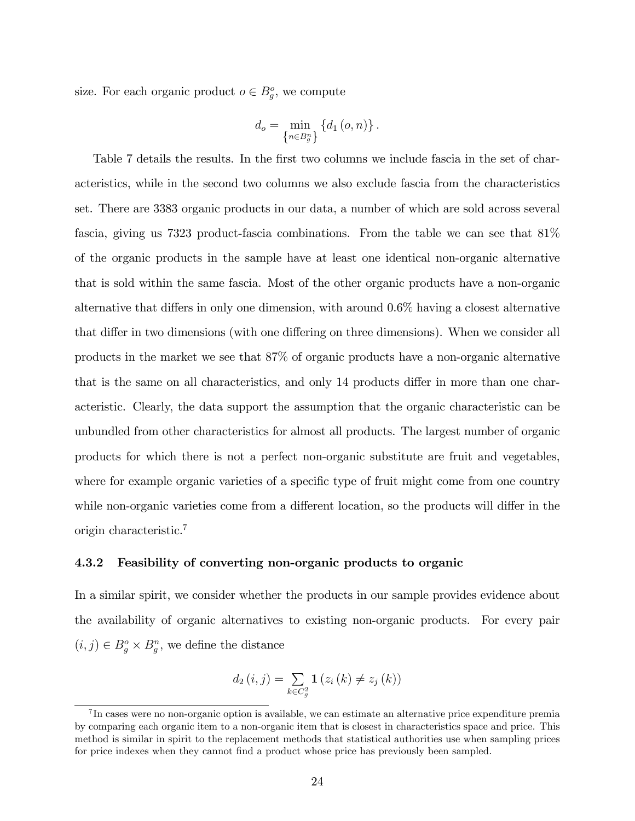size. For each organic product  $o \in B_g^o$ , we compute

$$
d_o = \min_{\left\{n \in B_g^n\right\}} \left\{ d_1\left(o, n\right)\right\}.
$$

Table 7 details the results. In the first two columns we include fascia in the set of characteristics, while in the second two columns we also exclude fascia from the characteristics set. There are 3383 organic products in our data, a number of which are sold across several fascia, giving us 7323 product-fascia combinations. From the table we can see that 81% of the organic products in the sample have at least one identical non-organic alternative that is sold within the same fascia. Most of the other organic products have a non-organic alternative that differs in only one dimension, with around  $0.6\%$  having a closest alternative that differ in two dimensions (with one differing on three dimensions). When we consider all products in the market we see that 87% of organic products have a non-organic alternative that is the same on all characteristics, and only 14 products differ in more than one characteristic. Clearly, the data support the assumption that the organic characteristic can be unbundled from other characteristics for almost all products. The largest number of organic products for which there is not a perfect non-organic substitute are fruit and vegetables, where for example organic varieties of a specific type of fruit might come from one country while non-organic varieties come from a different location, so the products will differ in the origin characteristic.<sup>7</sup>

#### 4.3.2 Feasibility of converting non-organic products to organic

In a similar spirit, we consider whether the products in our sample provides evidence about the availability of organic alternatives to existing non-organic products. For every pair  $(i, j) \in B^o_g \times B^n_g$ , we define the distance

$$
d_2(i, j) = \sum_{k \in C_g^2} \mathbf{1}(z_i(k) \neq z_j(k))
$$

<sup>&</sup>lt;sup>7</sup>In cases were no non-organic option is available, we can estimate an alternative price expenditure premia by comparing each organic item to a non-organic item that is closest in characteristics space and price. This method is similar in spirit to the replacement methods that statistical authorities use when sampling prices for price indexes when they cannot find a product whose price has previously been sampled.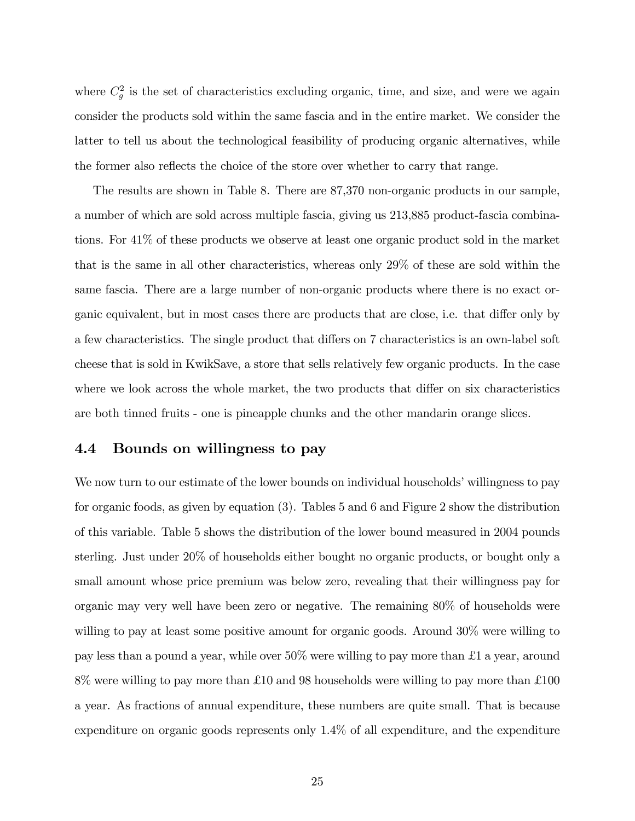where  $C_g^2$  is the set of characteristics excluding organic, time, and size, and were we again consider the products sold within the same fascia and in the entire market. We consider the latter to tell us about the technological feasibility of producing organic alternatives, while the former also reflects the choice of the store over whether to carry that range.

The results are shown in Table 8. There are 87,370 non-organic products in our sample, a number of which are sold across multiple fascia, giving us 213,885 product-fascia combinations. For 41% of these products we observe at least one organic product sold in the market that is the same in all other characteristics, whereas only 29% of these are sold within the same fascia. There are a large number of non-organic products where there is no exact organic equivalent, but in most cases there are products that are close, i.e. that differ only by a few characteristics. The single product that differs on 7 characteristics is an own-label soft cheese that is sold in KwikSave, a store that sells relatively few organic products. In the case where we look across the whole market, the two products that differ on six characteristics are both tinned fruits - one is pineapple chunks and the other mandarin orange slices.

### 4.4 Bounds on willingness to pay

We now turn to our estimate of the lower bounds on individual households' willingness to pay for organic foods, as given by equation (3). Tables 5 and 6 and Figure 2 show the distribution of this variable. Table 5 shows the distribution of the lower bound measured in 2004 pounds sterling. Just under 20% of households either bought no organic products, or bought only a small amount whose price premium was below zero, revealing that their willingness pay for organic may very well have been zero or negative. The remaining 80% of households were willing to pay at least some positive amount for organic goods. Around 30% were willing to pay less than a pound a year, while over  $50\%$  were willing to pay more than £1 a year, around  $8\%$  were willing to pay more than £10 and 98 households were willing to pay more than £100 a year. As fractions of annual expenditure, these numbers are quite small. That is because expenditure on organic goods represents only 1.4% of all expenditure, and the expenditure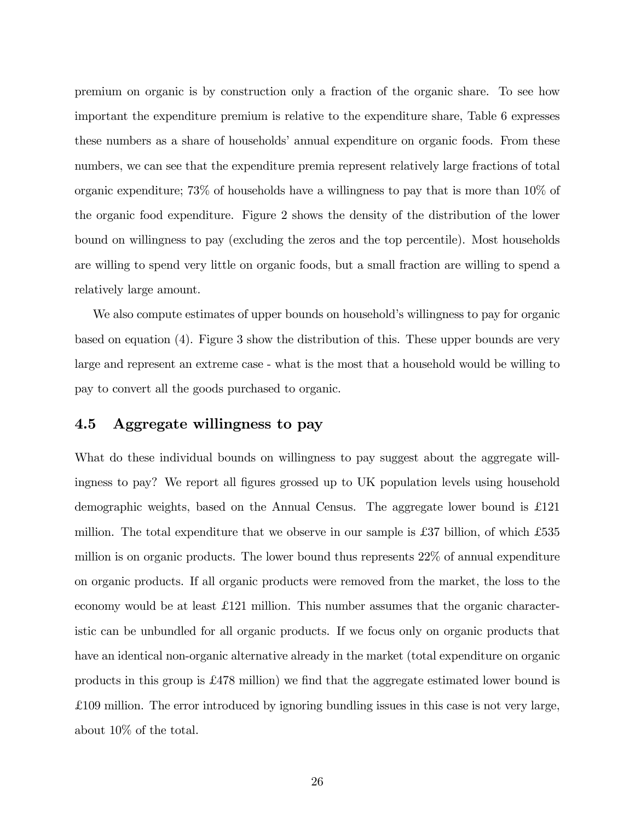premium on organic is by construction only a fraction of the organic share. To see how important the expenditure premium is relative to the expenditure share, Table 6 expresses these numbers as a share of households' annual expenditure on organic foods. From these numbers, we can see that the expenditure premia represent relatively large fractions of total organic expenditure; 73% of households have a willingness to pay that is more than 10% of the organic food expenditure. Figure 2 shows the density of the distribution of the lower bound on willingness to pay (excluding the zeros and the top percentile). Most households are willing to spend very little on organic foods, but a small fraction are willing to spend a relatively large amount.

We also compute estimates of upper bounds on household's willingness to pay for organic based on equation (4). Figure 3 show the distribution of this. These upper bounds are very large and represent an extreme case - what is the most that a household would be willing to pay to convert all the goods purchased to organic.

## 4.5 Aggregate willingness to pay

What do these individual bounds on willingness to pay suggest about the aggregate willingness to pay? We report all figures grossed up to UK population levels using household demographic weights, based on the Annual Census. The aggregate lower bound is  $\pounds121$ million. The total expenditure that we observe in our sample is £37 billion, of which  $£535$ million is on organic products. The lower bound thus represents 22% of annual expenditure on organic products. If all organic products were removed from the market, the loss to the economy would be at least  $\pounds$ 121 million. This number assumes that the organic characteristic can be unbundled for all organic products. If we focus only on organic products that have an identical non-organic alternative already in the market (total expenditure on organic products in this group is  $\pounds$ 478 million) we find that the aggregate estimated lower bound is £ 109 million. The error introduced by ignoring bundling issues in this case is not very large, about 10% of the total.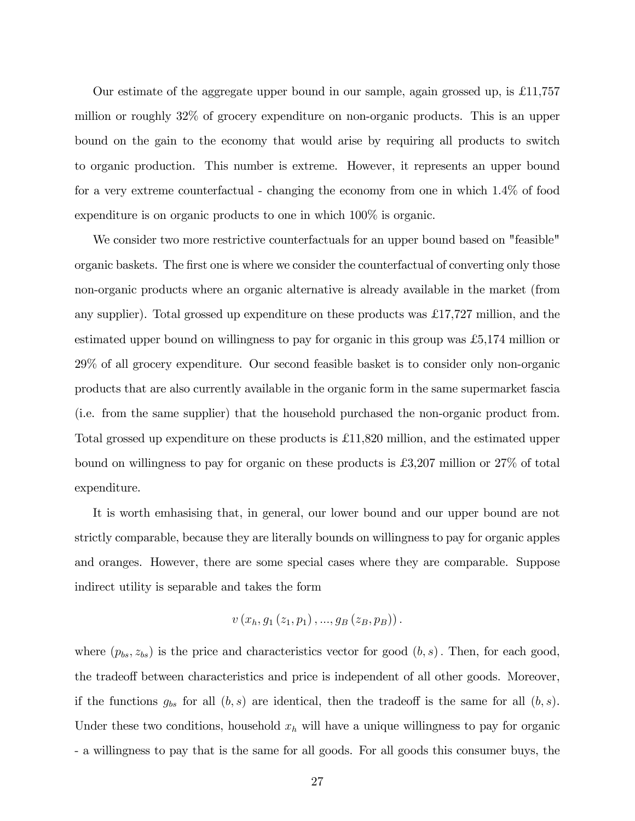Our estimate of the aggregate upper bound in our sample, again grossed up, is  $\pounds$ 11,757 million or roughly 32% of grocery expenditure on non-organic products. This is an upper bound on the gain to the economy that would arise by requiring all products to switch to organic production. This number is extreme. However, it represents an upper bound for a very extreme counterfactual - changing the economy from one in which 1.4% of food expenditure is on organic products to one in which 100% is organic.

We consider two more restrictive counterfactuals for an upper bound based on "feasible" organic baskets. The first one is where we consider the counterfactual of converting only those non-organic products where an organic alternative is already available in the market (from any supplier). Total grossed up expenditure on these products was £17,727 million, and the estimated upper bound on willingness to pay for organic in this group was £5,174 million or 29% of all grocery expenditure. Our second feasible basket is to consider only non-organic products that are also currently available in the organic form in the same supermarket fascia (i.e. from the same supplier) that the household purchased the non-organic product from. Total grossed up expenditure on these products is £11,820 million, and the estimated upper bound on willingness to pay for organic on these products is £3,207 million or  $27\%$  of total expenditure.

It is worth emhasising that, in general, our lower bound and our upper bound are not strictly comparable, because they are literally bounds on willingness to pay for organic apples and oranges. However, there are some special cases where they are comparable. Suppose indirect utility is separable and takes the form

$$
v(x_h, g_1(z_1, p_1),...,g_B(z_B, p_B)).
$$

where  $(p_{bs}, z_{bs})$  is the price and characteristics vector for good  $(b, s)$ . Then, for each good, the tradeoff between characteristics and price is independent of all other goods. Moreover, if the functions  $g_{bs}$  for all  $(b, s)$  are identical, then the tradeoff is the same for all  $(b, s)$ . Under these two conditions, household  $x<sub>h</sub>$  will have a unique willingness to pay for organic - a willingness to pay that is the same for all goods. For all goods this consumer buys, the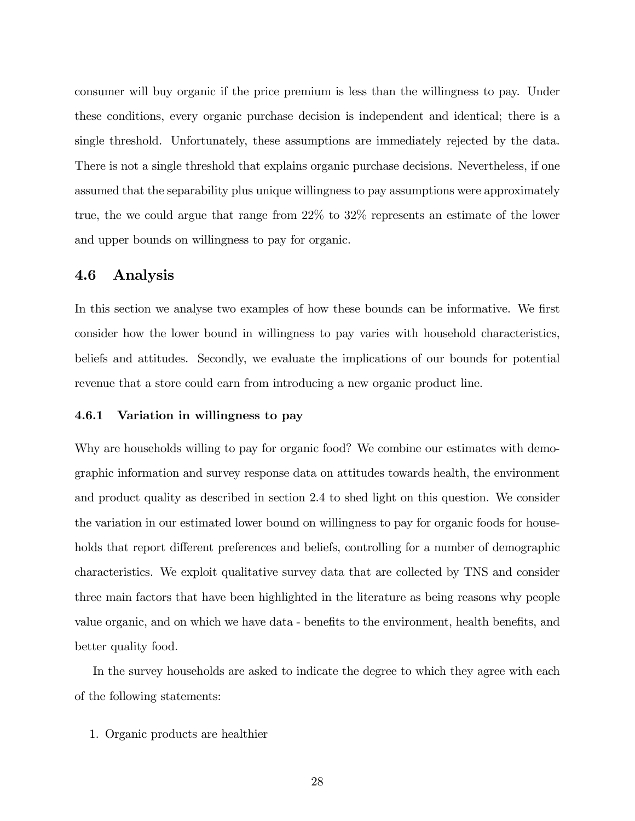consumer will buy organic if the price premium is less than the willingness to pay. Under these conditions, every organic purchase decision is independent and identical; there is a single threshold. Unfortunately, these assumptions are immediately rejected by the data. There is not a single threshold that explains organic purchase decisions. Nevertheless, if one assumed that the separability plus unique willingness to pay assumptions were approximately true, the we could argue that range from 22% to 32% represents an estimate of the lower and upper bounds on willingness to pay for organic.

### 4.6 Analysis

In this section we analyse two examples of how these bounds can be informative. We first consider how the lower bound in willingness to pay varies with household characteristics, beliefs and attitudes. Secondly, we evaluate the implications of our bounds for potential revenue that a store could earn from introducing a new organic product line.

#### 4.6.1 Variation in willingness to pay

Why are households willing to pay for organic food? We combine our estimates with demographic information and survey response data on attitudes towards health, the environment and product quality as described in section 2.4 to shed light on this question. We consider the variation in our estimated lower bound on willingness to pay for organic foods for households that report different preferences and beliefs, controlling for a number of demographic characteristics. We exploit qualitative survey data that are collected by TNS and consider three main factors that have been highlighted in the literature as being reasons why people value organic, and on which we have data - benefits to the environment, health benefits, and better quality food.

In the survey households are asked to indicate the degree to which they agree with each of the following statements:

1. Organic products are healthier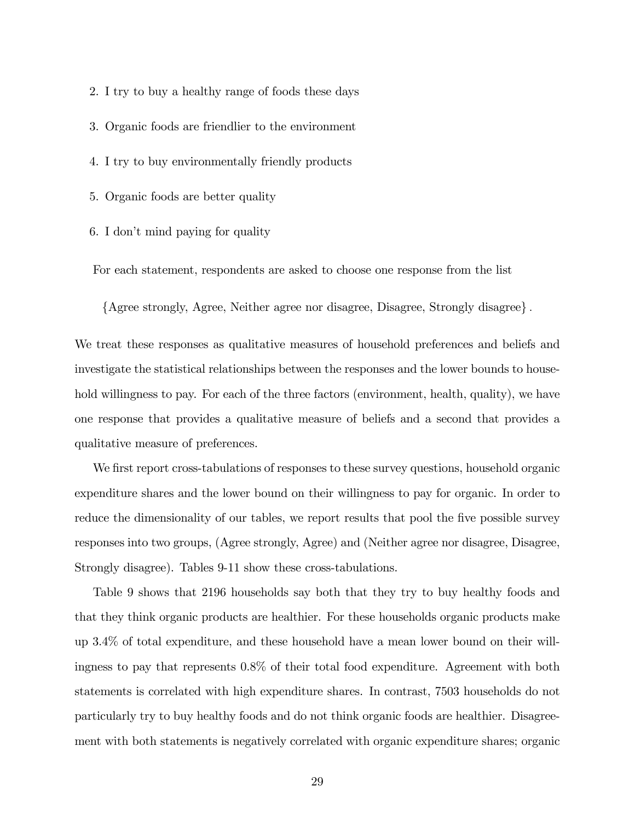2. I try to buy a healthy range of foods these days

3. Organic foods are friendlier to the environment

4. I try to buy environmentally friendly products

5. Organic foods are better quality

6. I don't mind paying for quality

For each statement, respondents are asked to choose one response from the list

{Agree strongly, Agree, Neither agree nor disagree, Disagree, Strongly disagree}.

We treat these responses as qualitative measures of household preferences and beliefs and investigate the statistical relationships between the responses and the lower bounds to household willingness to pay. For each of the three factors (environment, health, quality), we have one response that provides a qualitative measure of beliefs and a second that provides a qualitative measure of preferences.

We first report cross-tabulations of responses to these survey questions, household organic expenditure shares and the lower bound on their willingness to pay for organic. In order to reduce the dimensionality of our tables, we report results that pool the five possible survey responses into two groups, (Agree strongly, Agree) and (Neither agree nor disagree, Disagree, Strongly disagree). Tables 9-11 show these cross-tabulations.

Table 9 shows that 2196 households say both that they try to buy healthy foods and that they think organic products are healthier. For these households organic products make up 3.4% of total expenditure, and these household have a mean lower bound on their willingness to pay that represents 0.8% of their total food expenditure. Agreement with both statements is correlated with high expenditure shares. In contrast, 7503 households do not particularly try to buy healthy foods and do not think organic foods are healthier. Disagreement with both statements is negatively correlated with organic expenditure shares; organic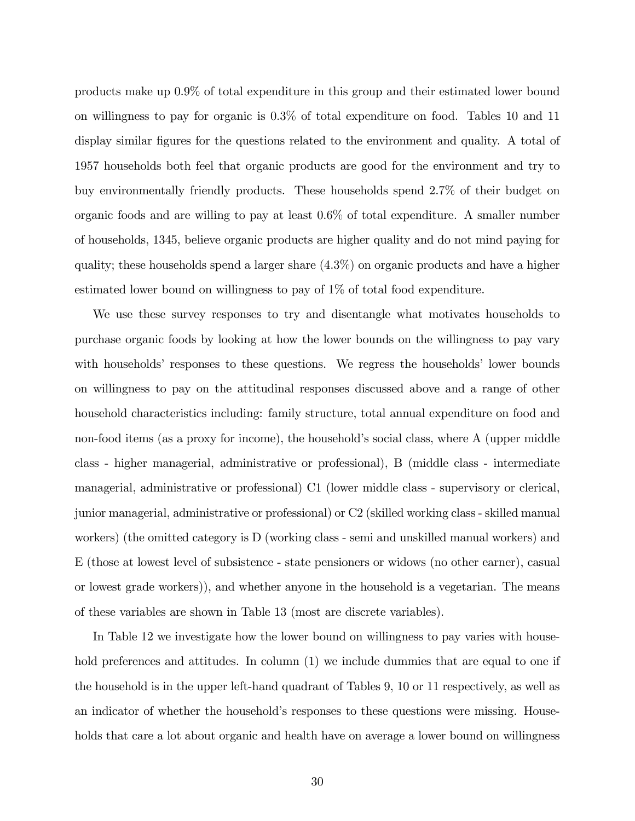products make up 0.9% of total expenditure in this group and their estimated lower bound on willingness to pay for organic is 0.3% of total expenditure on food. Tables 10 and 11 display similar figures for the questions related to the environment and quality. A total of 1957 households both feel that organic products are good for the environment and try to buy environmentally friendly products. These households spend 2.7% of their budget on organic foods and are willing to pay at least 0.6% of total expenditure. A smaller number of households, 1345, believe organic products are higher quality and do not mind paying for quality; these households spend a larger share (4.3%) on organic products and have a higher estimated lower bound on willingness to pay of 1% of total food expenditure.

We use these survey responses to try and disentangle what motivates households to purchase organic foods by looking at how the lower bounds on the willingness to pay vary with households' responses to these questions. We regress the households' lower bounds on willingness to pay on the attitudinal responses discussed above and a range of other household characteristics including: family structure, total annual expenditure on food and non-food items (as a proxy for income), the household's social class, where A (upper middle class - higher managerial, administrative or professional), B (middle class - intermediate managerial, administrative or professional) C1 (lower middle class - supervisory or clerical, junior managerial, administrative or professional) or C2 (skilled working class - skilled manual workers) (the omitted category is D (working class - semi and unskilled manual workers) and E (those at lowest level of subsistence - state pensioners or widows (no other earner), casual or lowest grade workers)), and whether anyone in the household is a vegetarian. The means of these variables are shown in Table 13 (most are discrete variables).

In Table 12 we investigate how the lower bound on willingness to pay varies with household preferences and attitudes. In column (1) we include dummies that are equal to one if the household is in the upper left-hand quadrant of Tables 9, 10 or 11 respectively, as well as an indicator of whether the household's responses to these questions were missing. Households that care a lot about organic and health have on average a lower bound on willingness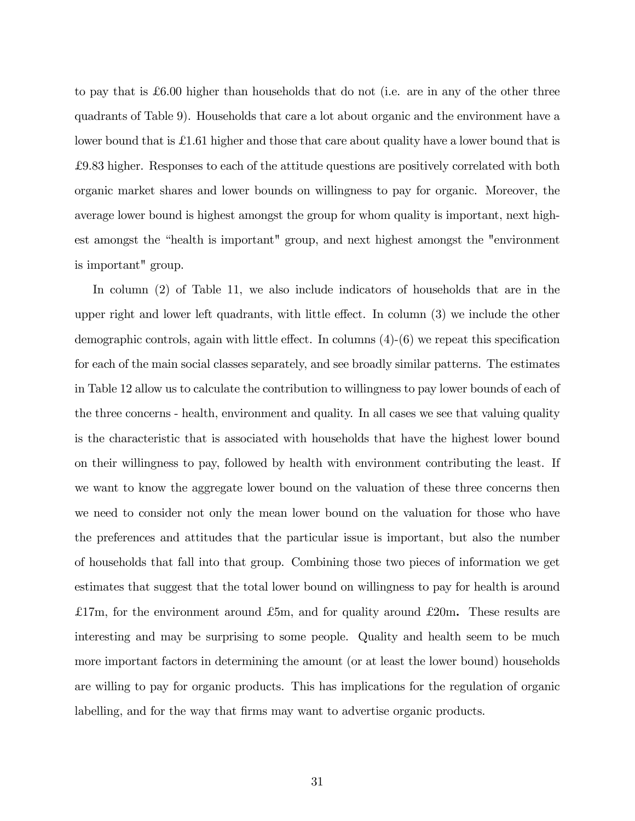to pay that is  $\pounds 6.00$  higher than households that do not (i.e. are in any of the other three quadrants of Table 9). Households that care a lot about organic and the environment have a lower bound that is  $\pounds$ 1.61 higher and those that care about quality have a lower bound that is £ 9.83 higher. Responses to each of the attitude questions are positively correlated with both organic market shares and lower bounds on willingness to pay for organic. Moreover, the average lower bound is highest amongst the group for whom quality is important, next highest amongst the "health is important" group, and next highest amongst the "environment" is important" group.

In column (2) of Table 11, we also include indicators of households that are in the upper right and lower left quadrants, with little effect. In column  $(3)$  we include the other demographic controls, again with little effect. In columns  $(4)-(6)$  we repeat this specification for each of the main social classes separately, and see broadly similar patterns. The estimates in Table 12 allow us to calculate the contribution to willingness to pay lower bounds of each of the three concerns - health, environment and quality. In all cases we see that valuing quality is the characteristic that is associated with households that have the highest lower bound on their willingness to pay, followed by health with environment contributing the least. If we want to know the aggregate lower bound on the valuation of these three concerns then we need to consider not only the mean lower bound on the valuation for those who have the preferences and attitudes that the particular issue is important, but also the number of households that fall into that group. Combining those two pieces of information we get estimates that suggest that the total lower bound on willingness to pay for health is around £17m, for the environment around £5m, and for quality around £20m. These results are interesting and may be surprising to some people. Quality and health seem to be much more important factors in determining the amount (or at least the lower bound) households are willing to pay for organic products. This has implications for the regulation of organic labelling, and for the way that firms may want to advertise organic products.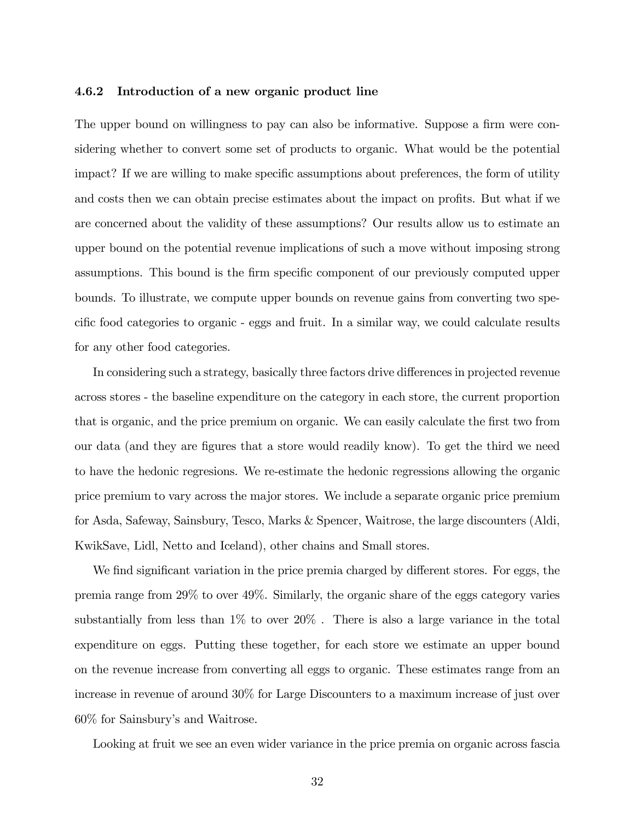#### 4.6.2 Introduction of a new organic product line

The upper bound on willingness to pay can also be informative. Suppose a firm were considering whether to convert some set of products to organic. What would be the potential impact? If we are willing to make specific assumptions about preferences, the form of utility and costs then we can obtain precise estimates about the impact on profits. But what if we are concerned about the validity of these assumptions? Our results allow us to estimate an upper bound on the potential revenue implications of such a move without imposing strong assumptions. This bound is the firm specific component of our previously computed upper bounds. To illustrate, we compute upper bounds on revenue gains from converting two specific food categories to organic - eggs and fruit. In a similar way, we could calculate results for any other food categories.

In considering such a strategy, basically three factors drive differences in projected revenue across stores - the baseline expenditure on the category in each store, the current proportion that is organic, and the price premium on organic. We can easily calculate the first two from our data (and they are Ögures that a store would readily know). To get the third we need to have the hedonic regresions. We re-estimate the hedonic regressions allowing the organic price premium to vary across the major stores. We include a separate organic price premium for Asda, Safeway, Sainsbury, Tesco, Marks & Spencer, Waitrose, the large discounters (Aldi, KwikSave, Lidl, Netto and Iceland), other chains and Small stores.

We find significant variation in the price premia charged by different stores. For eggs, the premia range from 29% to over 49%. Similarly, the organic share of the eggs category varies substantially from less than  $1\%$  to over  $20\%$ . There is also a large variance in the total expenditure on eggs. Putting these together, for each store we estimate an upper bound on the revenue increase from converting all eggs to organic. These estimates range from an increase in revenue of around 30% for Large Discounters to a maximum increase of just over 60% for Sainsbury's and Waitrose.

Looking at fruit we see an even wider variance in the price premia on organic across fascia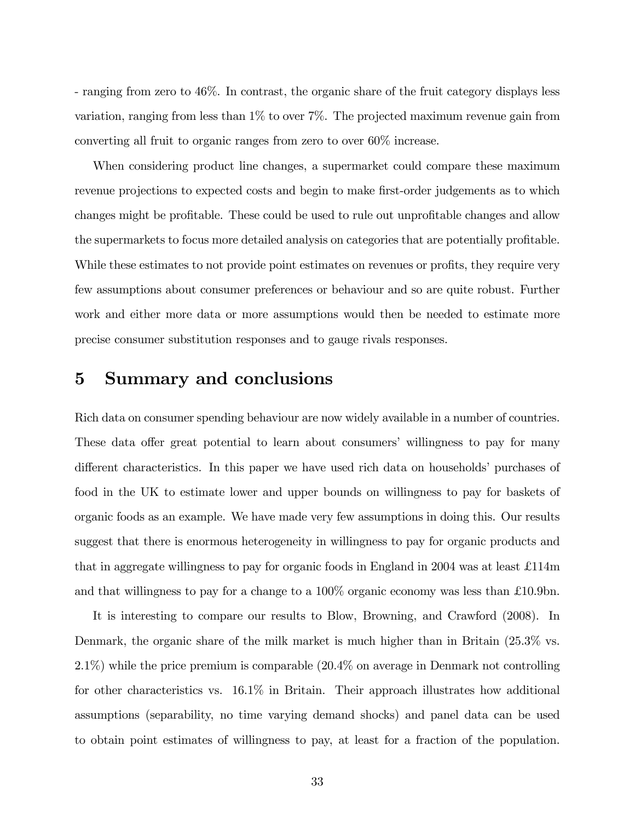- ranging from zero to 46%. In contrast, the organic share of the fruit category displays less variation, ranging from less than 1% to over 7%. The projected maximum revenue gain from converting all fruit to organic ranges from zero to over 60% increase.

When considering product line changes, a supermarket could compare these maximum revenue projections to expected costs and begin to make first-order judgements as to which changes might be profitable. These could be used to rule out unprofitable changes and allow the supermarkets to focus more detailed analysis on categories that are potentially profitable. While these estimates to not provide point estimates on revenues or profits, they require very few assumptions about consumer preferences or behaviour and so are quite robust. Further work and either more data or more assumptions would then be needed to estimate more precise consumer substitution responses and to gauge rivals responses.

# 5 Summary and conclusions

Rich data on consumer spending behaviour are now widely available in a number of countries. These data offer great potential to learn about consumers' willingness to pay for many different characteristics. In this paper we have used rich data on households' purchases of food in the UK to estimate lower and upper bounds on willingness to pay for baskets of organic foods as an example. We have made very few assumptions in doing this. Our results suggest that there is enormous heterogeneity in willingness to pay for organic products and that in aggregate willingness to pay for organic foods in England in 2004 was at least  $\pounds114m$ and that willingness to pay for a change to a  $100\%$  organic economy was less than £10.9bn.

It is interesting to compare our results to Blow, Browning, and Crawford (2008). In Denmark, the organic share of the milk market is much higher than in Britain  $(25.3\%$  vs. 2.1%) while the price premium is comparable (20.4% on average in Denmark not controlling for other characteristics vs. 16.1% in Britain. Their approach illustrates how additional assumptions (separability, no time varying demand shocks) and panel data can be used to obtain point estimates of willingness to pay, at least for a fraction of the population.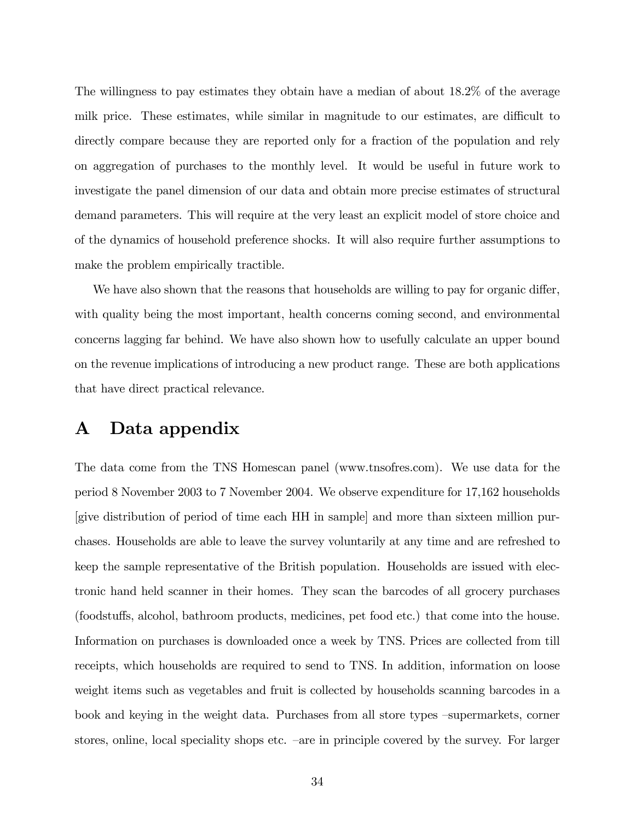The willingness to pay estimates they obtain have a median of about 18.2% of the average milk price. These estimates, while similar in magnitude to our estimates, are difficult to directly compare because they are reported only for a fraction of the population and rely on aggregation of purchases to the monthly level. It would be useful in future work to investigate the panel dimension of our data and obtain more precise estimates of structural demand parameters. This will require at the very least an explicit model of store choice and of the dynamics of household preference shocks. It will also require further assumptions to make the problem empirically tractible.

We have also shown that the reasons that households are willing to pay for organic differ, with quality being the most important, health concerns coming second, and environmental concerns lagging far behind. We have also shown how to usefully calculate an upper bound on the revenue implications of introducing a new product range. These are both applications that have direct practical relevance.

# A Data appendix

The data come from the TNS Homescan panel (www.tnsofres.com). We use data for the period 8 November 2003 to 7 November 2004. We observe expenditure for 17,162 households [give distribution of period of time each HH in sample] and more than sixteen million purchases. Households are able to leave the survey voluntarily at any time and are refreshed to keep the sample representative of the British population. Households are issued with electronic hand held scanner in their homes. They scan the barcodes of all grocery purchases (foodstu§s, alcohol, bathroom products, medicines, pet food etc.) that come into the house. Information on purchases is downloaded once a week by TNS. Prices are collected from till receipts, which households are required to send to TNS. In addition, information on loose weight items such as vegetables and fruit is collected by households scanning barcodes in a book and keying in the weight data. Purchases from all store types  $-\text{supermarkets}$ , corner stores, online, local speciality shops etc. –are in principle covered by the survey. For larger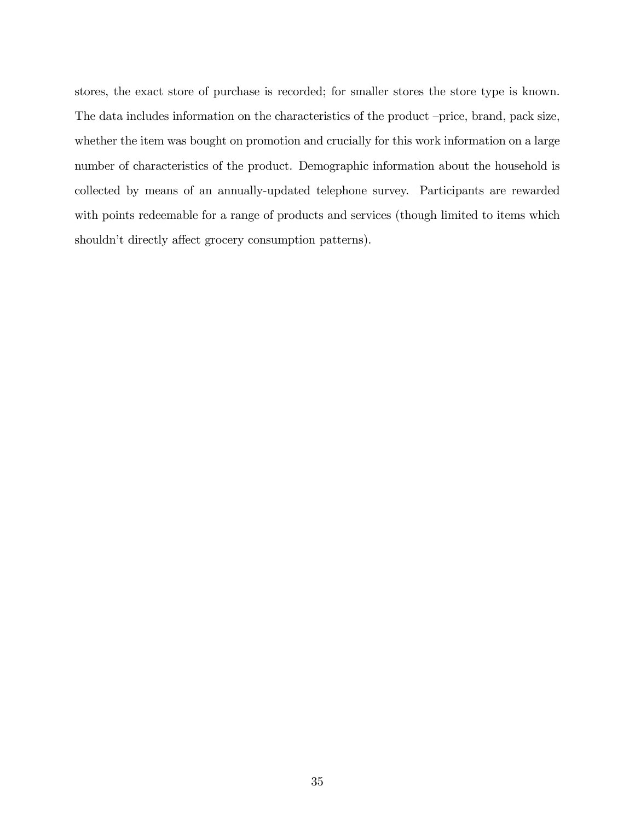stores, the exact store of purchase is recorded; for smaller stores the store type is known. The data includes information on the characteristics of the product –price, brand, pack size, whether the item was bought on promotion and crucially for this work information on a large number of characteristics of the product. Demographic information about the household is collected by means of an annually-updated telephone survey. Participants are rewarded with points redeemable for a range of products and services (though limited to items which shouldn't directly affect grocery consumption patterns).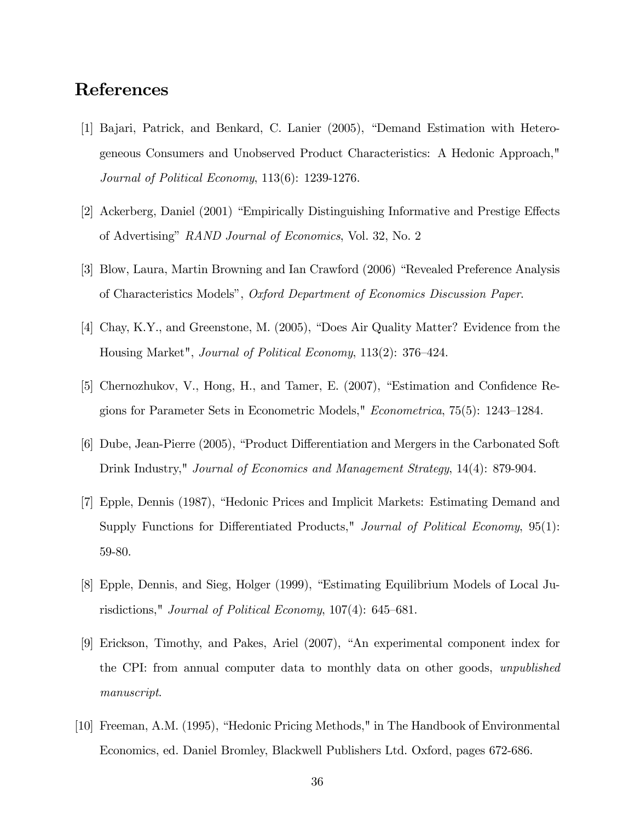# References

- [1] Bajari, Patrick, and Benkard, C. Lanier (2005), "Demand Estimation with Heterogeneous Consumers and Unobserved Product Characteristics: A Hedonic Approach," Journal of Political Economy, 113(6): 1239-1276.
- [2] Ackerberg, Daniel (2001) "Empirically Distinguishing Informative and Prestige Effects of Advertising" RAND Journal of Economics, Vol. 32, No. 2
- [3] Blow, Laura, Martin Browning and Ian Crawford (2006) "Revealed Preference Analysis of Characteristics Modelsî, Oxford Department of Economics Discussion Paper.
- [4] Chay, K.Y., and Greenstone, M.  $(2005)$ , "Does Air Quality Matter? Evidence from the Housing Market", *Journal of Political Economy*, 113(2): 376–424.
- [5] Chernozhukov, V., Hong, H., and Tamer, E.  $(2007)$ , "Estimation and Confidence Regions for Parameter Sets in Econometric Models,"  $Econometrica$ ,  $75(5)$ : 1243–1284.
- [6] Dube, Jean-Pierre (2005), "Product Differentiation and Mergers in the Carbonated Soft Drink Industry," Journal of Economics and Management Strategy, 14(4): 879-904.
- [7] Epple, Dennis (1987), "Hedonic Prices and Implicit Markets: Estimating Demand and Supply Functions for Differentiated Products," Journal of Political Economy,  $95(1)$ : 59-80.
- [8] Epple, Dennis, and Sieg, Holger (1999), "Estimating Equilibrium Models of Local Jurisdictions," Journal of Political Economy,  $107(4)$ : 645–681.
- [9] Erickson, Timothy, and Pakes, Ariel (2007), "An experimental component index for the CPI: from annual computer data to monthly data on other goods, unpublished manuscript.
- [10] Freeman, A.M. (1995), "Hedonic Pricing Methods," in The Handbook of Environmental Economics, ed. Daniel Bromley, Blackwell Publishers Ltd. Oxford, pages 672-686.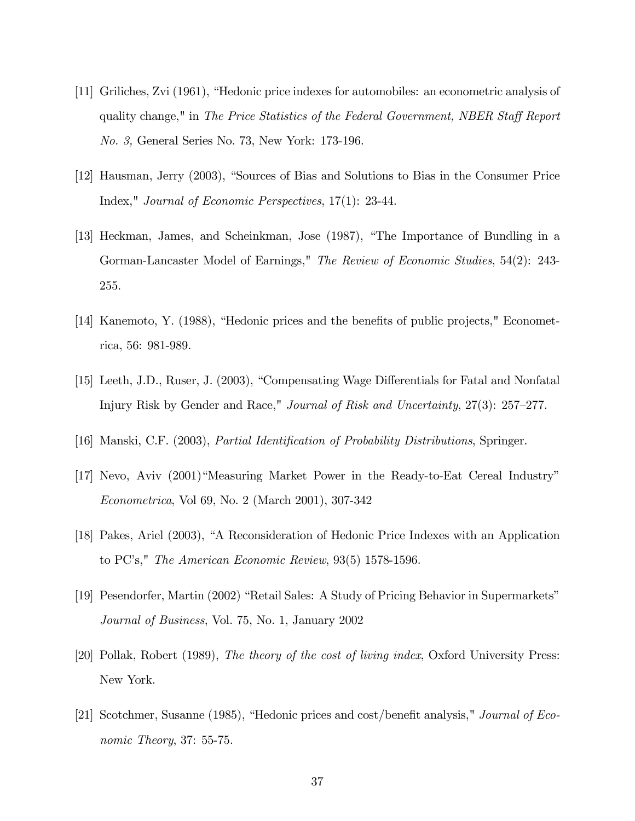- [11] Griliches, Zvi (1961), "Hedonic price indexes for automobiles: an econometric analysis of quality change," in The Price Statistics of the Federal Government, NBER Staff Report No. 3, General Series No. 73, New York: 173-196.
- [12] Hausman, Jerry (2003), "Sources of Bias and Solutions to Bias in the Consumer Price Index," Journal of Economic Perspectives, 17(1): 23-44.
- [13] Heckman, James, and Scheinkman, Jose (1987), "The Importance of Bundling in a Gorman-Lancaster Model of Earnings," The Review of Economic Studies, 54(2): 243-255.
- [14] Kanemoto, Y. (1988), "Hedonic prices and the benefits of public projects," Econometrica, 56: 981-989.
- [15] Leeth, J.D., Ruser, J. (2003), "Compensating Wage Differentials for Fatal and Nonfatal Injury Risk by Gender and Race," Journal of Risk and Uncertainty,  $27(3)$ :  $257-277$ .
- [16] Manski, C.F. (2003), *Partial Identification of Probability Distributions*, Springer.
- $[17]$  Nevo, Aviv  $(2001)$  Measuring Market Power in the Ready-to-Eat Cereal Industry" Econometrica, Vol 69, No. 2 (March 2001), 307-342
- [18] Pakes, Ariel (2003), "A Reconsideration of Hedonic Price Indexes with an Application to  $PC$ 's," *The American Economic Review*,  $93(5)$  1578-1596.
- [19] Pesendorfer, Martin (2002) "Retail Sales: A Study of Pricing Behavior in Supermarkets" Journal of Business, Vol. 75, No. 1, January 2002
- [20] Pollak, Robert (1989), The theory of the cost of living index, Oxford University Press: New York.
- [21] Scotchmer, Susanne (1985), "Hedonic prices and cost/benefit analysis," Journal of Economic Theory, 37: 55-75.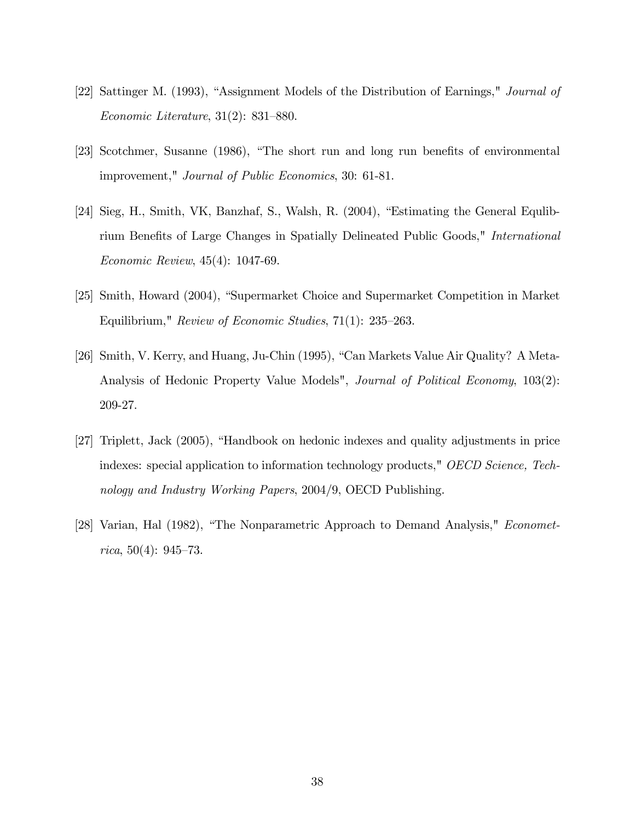- [22] Sattinger M. (1993), "Assignment Models of the Distribution of Earnings," *Journal of* Economic Literature,  $31(2)$ :  $831-880$ .
- [23] Scotchmer, Susanne (1986), "The short run and long run benefits of environmental improvement," Journal of Public Economics, 30: 61-81.
- [24] Sieg, H., Smith, VK, Banzhaf, S., Walsh, R. (2004), "Estimating the General Equlibrium Benefits of Large Changes in Spatially Delineated Public Goods," *International* Economic Review, 45(4): 1047-69.
- [25] Smith, Howard (2004), "Supermarket Choice and Supermarket Competition in Market Equilibrium," Review of Economic Studies,  $71(1)$ : 235–263.
- [26] Smith, V. Kerry, and Huang, Ju-Chin (1995), "Can Markets Value Air Quality? A Meta-Analysis of Hedonic Property Value Models", *Journal of Political Economy*, 103(2): 209-27.
- [27] Triplett, Jack (2005), "Handbook on hedonic indexes and quality adjustments in price indexes: special application to information technology products," OECD Science, Technology and Industry Working Papers, 2004/9, OECD Publishing.
- [28] Varian, Hal  $(1982)$ , "The Nonparametric Approach to Demand Analysis," *Economet*rica, 50(4):  $945-73$ .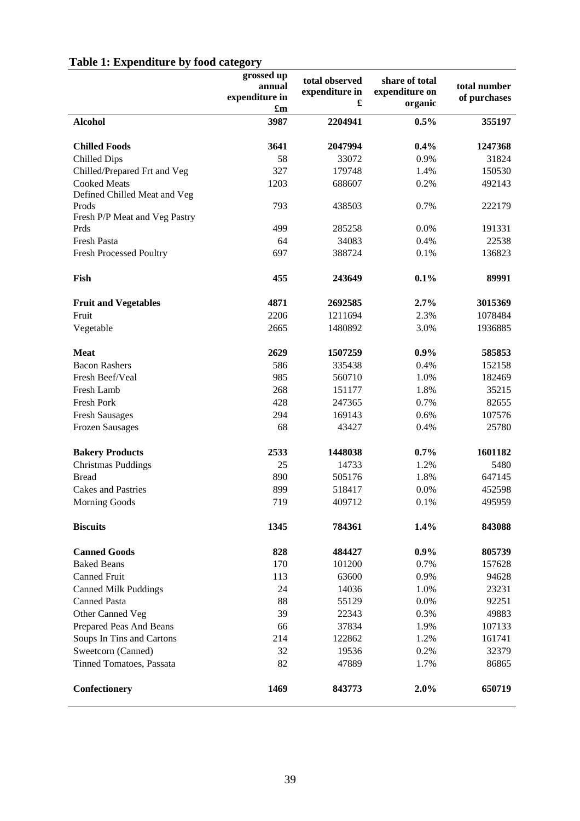| Table 1: Expenditure by food category |  |  |  |  |
|---------------------------------------|--|--|--|--|
|---------------------------------------|--|--|--|--|

|                                       | grossed up                | total observed | share of total |                              |
|---------------------------------------|---------------------------|----------------|----------------|------------------------------|
|                                       | annual<br>expenditure in  | expenditure in | expenditure on | total number<br>of purchases |
|                                       | $\mathbf{f}_{\mathbf{m}}$ |                | organic        |                              |
| <b>Alcohol</b>                        | 3987                      | 2204941        | 0.5%           | 355197                       |
| <b>Chilled Foods</b>                  | 3641                      | 2047994        | 0.4%           | 1247368                      |
| <b>Chilled Dips</b>                   | 58                        | 33072          | 0.9%           | 31824                        |
| Chilled/Prepared Frt and Veg          | 327                       | 179748         | 1.4%           | 150530                       |
| <b>Cooked Meats</b>                   | 1203                      | 688607         | 0.2%           | 492143                       |
| Defined Chilled Meat and Veg<br>Prods | 793                       | 438503         | 0.7%           | 222179                       |
| Fresh P/P Meat and Veg Pastry         |                           |                |                |                              |
| Prds                                  | 499                       | 285258         | 0.0%           | 191331                       |
| Fresh Pasta                           | 64                        | 34083          | 0.4%           | 22538                        |
| <b>Fresh Processed Poultry</b>        | 697                       | 388724         | 0.1%           | 136823                       |
| Fish                                  | 455                       | 243649         | 0.1%           | 89991                        |
| <b>Fruit and Vegetables</b>           | 4871                      | 2692585        | 2.7%           | 3015369                      |
| Fruit                                 | 2206                      | 1211694        | 2.3%           | 1078484                      |
| Vegetable                             | 2665                      | 1480892        | 3.0%           | 1936885                      |
| <b>Meat</b>                           | 2629                      | 1507259        | 0.9%           | 585853                       |
| <b>Bacon Rashers</b>                  | 586                       | 335438         | 0.4%           | 152158                       |
| Fresh Beef/Veal                       | 985                       | 560710         | 1.0%           | 182469                       |
| Fresh Lamb                            | 268                       | 151177         | 1.8%           | 35215                        |
| Fresh Pork                            | 428                       | 247365         | 0.7%           | 82655                        |
| <b>Fresh Sausages</b>                 | 294                       | 169143         | 0.6%           | 107576                       |
| <b>Frozen Sausages</b>                | 68                        | 43427          | 0.4%           | 25780                        |
| <b>Bakery Products</b>                | 2533                      | 1448038        | 0.7%           | 1601182                      |
| <b>Christmas Puddings</b>             | 25                        | 14733          | 1.2%           | 5480                         |
| <b>Bread</b>                          | 890                       | 505176         | 1.8%           | 647145                       |
| <b>Cakes and Pastries</b>             | 899                       | 518417         | 0.0%           | 452598                       |
| <b>Morning Goods</b>                  | 719                       | 409712         | 0.1%           | 495959                       |
| <b>Biscuits</b>                       | 1345                      | 784361         | 1.4%           | 843088                       |
| <b>Canned Goods</b>                   | 828                       | 484427         | $0.9\%$        | 805739                       |
| <b>Baked Beans</b>                    | 170                       | 101200         | 0.7%           | 157628                       |
| <b>Canned Fruit</b>                   | 113                       | 63600          | 0.9%           | 94628                        |
| <b>Canned Milk Puddings</b>           | 24                        | 14036          | 1.0%           | 23231                        |
| <b>Canned Pasta</b>                   | 88                        | 55129          | 0.0%           | 92251                        |
| Other Canned Veg                      | 39                        | 22343          | 0.3%           | 49883                        |
| Prepared Peas And Beans               | 66                        | 37834          | 1.9%           | 107133                       |
| Soups In Tins and Cartons             | 214                       | 122862         | 1.2%           | 161741                       |
| Sweetcorn (Canned)                    | 32                        | 19536          | 0.2%           | 32379                        |
| Tinned Tomatoes, Passata              | 82                        | 47889          | 1.7%           | 86865                        |
| Confectionery                         | 1469                      | 843773         | 2.0%           | 650719                       |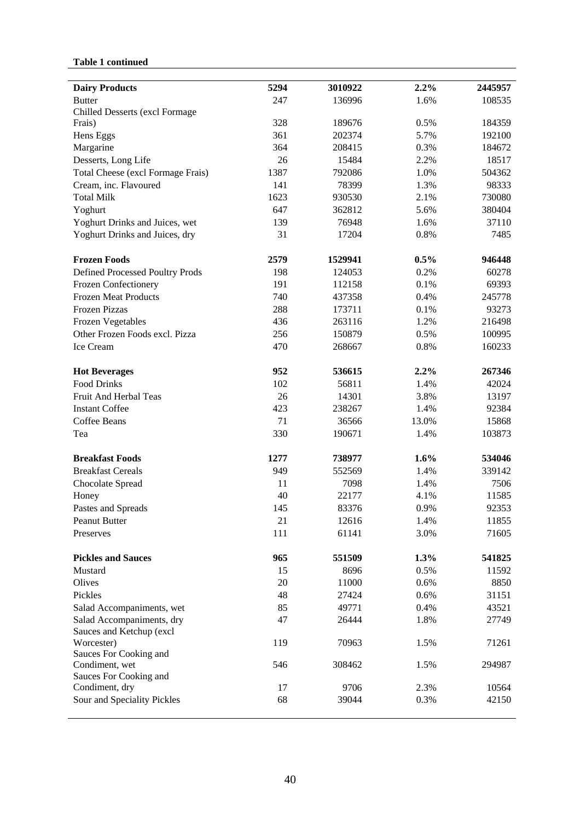# **Table 1 continued**

| <b>Dairy Products</b>             | 5294 | 3010922 | 2.2%  | 2445957 |
|-----------------------------------|------|---------|-------|---------|
| <b>Butter</b>                     | 247  | 136996  | 1.6%  | 108535  |
| Chilled Desserts (excl Formage    |      |         |       |         |
| Frais)                            | 328  | 189676  | 0.5%  | 184359  |
| Hens Eggs                         | 361  | 202374  | 5.7%  | 192100  |
| Margarine                         | 364  | 208415  | 0.3%  | 184672  |
| Desserts, Long Life               | 26   | 15484   | 2.2%  | 18517   |
| Total Cheese (excl Formage Frais) | 1387 | 792086  | 1.0%  | 504362  |
| Cream, inc. Flavoured             | 141  | 78399   | 1.3%  | 98333   |
| <b>Total Milk</b>                 | 1623 | 930530  | 2.1%  | 730080  |
| Yoghurt                           | 647  | 362812  | 5.6%  | 380404  |
| Yoghurt Drinks and Juices, wet    | 139  | 76948   | 1.6%  | 37110   |
| Yoghurt Drinks and Juices, dry    | 31   | 17204   | 0.8%  | 7485    |
| <b>Frozen Foods</b>               | 2579 | 1529941 | 0.5%  | 946448  |
| Defined Processed Poultry Prods   | 198  | 124053  | 0.2%  | 60278   |
| Frozen Confectionery              | 191  | 112158  | 0.1%  | 69393   |
| <b>Frozen Meat Products</b>       | 740  | 437358  | 0.4%  | 245778  |
| <b>Frozen Pizzas</b>              | 288  | 173711  | 0.1%  | 93273   |
| <b>Frozen Vegetables</b>          | 436  | 263116  | 1.2%  | 216498  |
| Other Frozen Foods excl. Pizza    | 256  | 150879  | 0.5%  | 100995  |
| Ice Cream                         | 470  | 268667  | 0.8%  | 160233  |
| <b>Hot Beverages</b>              | 952  | 536615  | 2.2%  | 267346  |
| <b>Food Drinks</b>                | 102  | 56811   | 1.4%  | 42024   |
| Fruit And Herbal Teas             | 26   | 14301   | 3.8%  | 13197   |
| <b>Instant Coffee</b>             | 423  | 238267  | 1.4%  | 92384   |
| Coffee Beans                      | 71   | 36566   | 13.0% | 15868   |
| Tea                               | 330  | 190671  | 1.4%  | 103873  |
| <b>Breakfast Foods</b>            | 1277 | 738977  | 1.6%  | 534046  |
| <b>Breakfast Cereals</b>          | 949  | 552569  | 1.4%  | 339142  |
| Chocolate Spread                  | 11   | 7098    | 1.4%  | 7506    |
| Honey                             | 40   | 22177   | 4.1%  | 11585   |
| Pastes and Spreads                | 145  | 83376   | 0.9%  | 92353   |
| Peanut Butter                     | 21   | 12616   | 1.4%  | 11855   |
| Preserves                         | 111  | 61141   | 3.0%  | 71605   |
| <b>Pickles and Sauces</b>         | 965  | 551509  | 1.3%  | 541825  |
| Mustard                           | 15   | 8696    | 0.5%  | 11592   |
| Olives                            | 20   | 11000   | 0.6%  | 8850    |
| Pickles                           | 48   | 27424   | 0.6%  | 31151   |
| Salad Accompaniments, wet         | 85   | 49771   | 0.4%  | 43521   |
| Salad Accompaniments, dry         | 47   | 26444   | 1.8%  | 27749   |
| Sauces and Ketchup (excl          |      |         |       |         |
| Worcester)                        | 119  | 70963   | 1.5%  | 71261   |
| Sauces For Cooking and            |      |         |       |         |
| Condiment, wet                    | 546  | 308462  | 1.5%  | 294987  |
| Sauces For Cooking and            |      |         |       |         |
| Condiment, dry                    | 17   | 9706    | 2.3%  | 10564   |
| Sour and Speciality Pickles       | 68   | 39044   | 0.3%  | 42150   |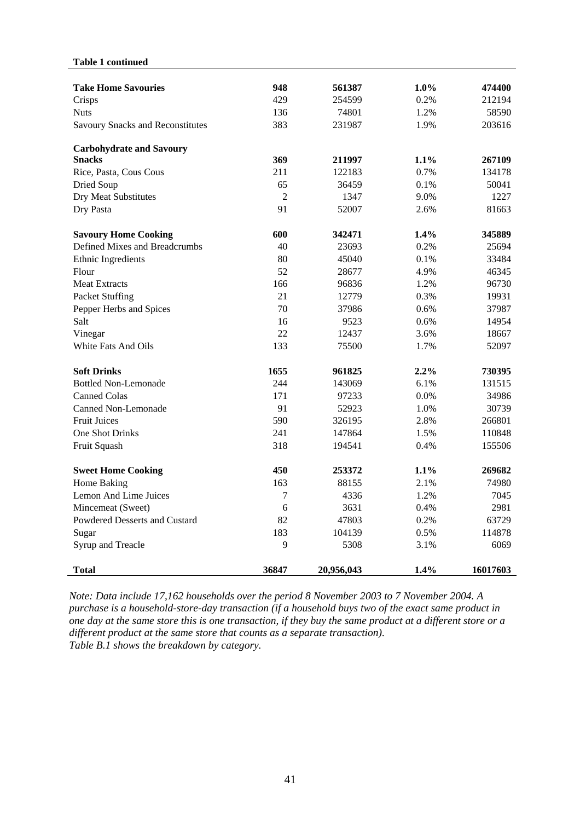#### **Table 1 continued**

| <b>Take Home Savouries</b>       | 948            | 561387     | $1.0\%$ | 474400   |
|----------------------------------|----------------|------------|---------|----------|
| Crisps                           | 429            | 254599     | 0.2%    | 212194   |
| <b>Nuts</b>                      | 136            | 74801      | 1.2%    | 58590    |
| Savoury Snacks and Reconstitutes | 383            | 231987     | 1.9%    | 203616   |
| <b>Carbohydrate and Savoury</b>  |                |            |         |          |
| <b>Snacks</b>                    | 369            | 211997     | $1.1\%$ | 267109   |
| Rice, Pasta, Cous Cous           | 211            | 122183     | 0.7%    | 134178   |
| Dried Soup                       | 65             | 36459      | 0.1%    | 50041    |
| Dry Meat Substitutes             | $\overline{2}$ | 1347       | 9.0%    | 1227     |
| Dry Pasta                        | 91             | 52007      | 2.6%    | 81663    |
| <b>Savoury Home Cooking</b>      | 600            | 342471     | 1.4%    | 345889   |
| Defined Mixes and Breadcrumbs    | 40             | 23693      | 0.2%    | 25694    |
| Ethnic Ingredients               | 80             | 45040      | 0.1%    | 33484    |
| Flour                            | 52             | 28677      | 4.9%    | 46345    |
| <b>Meat Extracts</b>             | 166            | 96836      | 1.2%    | 96730    |
| Packet Stuffing                  | 21             | 12779      | 0.3%    | 19931    |
| Pepper Herbs and Spices          | 70             | 37986      | 0.6%    | 37987    |
| Salt                             | 16             | 9523       | 0.6%    | 14954    |
| Vinegar                          | 22             | 12437      | 3.6%    | 18667    |
| White Fats And Oils              | 133            | 75500      | 1.7%    | 52097    |
| <b>Soft Drinks</b>               | 1655           | 961825     | 2.2%    | 730395   |
| <b>Bottled Non-Lemonade</b>      | 244            | 143069     | 6.1%    | 131515   |
| <b>Canned Colas</b>              | 171            | 97233      | 0.0%    | 34986    |
| Canned Non-Lemonade              | 91             | 52923      | 1.0%    | 30739    |
| <b>Fruit Juices</b>              | 590            | 326195     | 2.8%    | 266801   |
| One Shot Drinks                  | 241            | 147864     | 1.5%    | 110848   |
| Fruit Squash                     | 318            | 194541     | 0.4%    | 155506   |
| <b>Sweet Home Cooking</b>        | 450            | 253372     | 1.1%    | 269682   |
| Home Baking                      | 163            | 88155      | 2.1%    | 74980    |
| Lemon And Lime Juices            | $\overline{7}$ | 4336       | 1.2%    | 7045     |
| Mincemeat (Sweet)                | 6              | 3631       | 0.4%    | 2981     |
| Powdered Desserts and Custard    | 82             | 47803      | 0.2%    | 63729    |
| Sugar                            | 183            | 104139     | 0.5%    | 114878   |
| Syrup and Treacle                | 9              | 5308       | 3.1%    | 6069     |
| <b>Total</b>                     | 36847          | 20,956,043 | 1.4%    | 16017603 |

*Note: Data include 17,162 households over the period 8 November 2003 to 7 November 2004. A purchase is a household-store-day transaction (if a household buys two of the exact same product in one day at the same store this is one transaction, if they buy the same product at a different store or a different product at the same store that counts as a separate transaction). Table B.1 shows the breakdown by category.*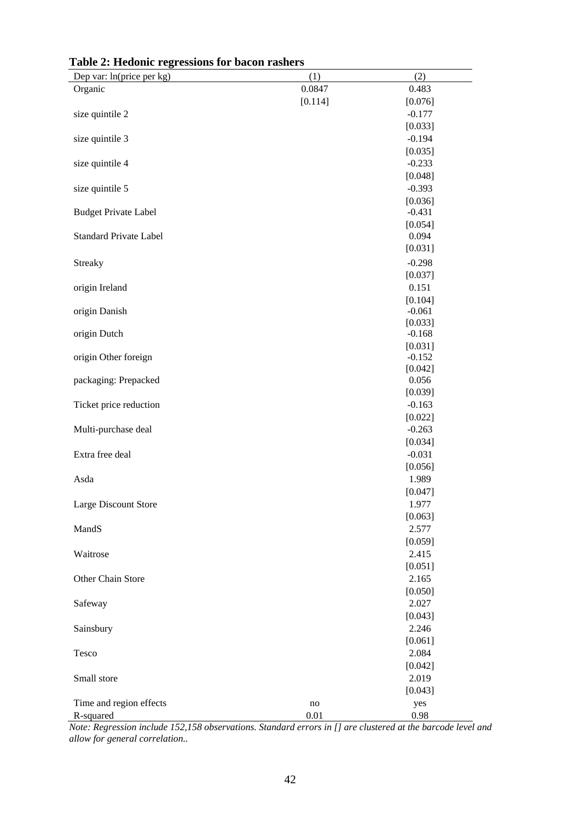| Dep var: ln(price per kg)     | (1)     | (2)                 |
|-------------------------------|---------|---------------------|
| Organic                       | 0.0847  | 0.483               |
|                               | [0.114] | [0.076]             |
| size quintile 2               |         | $-0.177$            |
|                               |         | [0.033]             |
| size quintile 3               |         | $-0.194$            |
|                               |         | [0.035]             |
| size quintile 4               |         | $-0.233$            |
|                               |         | [0.048]             |
| size quintile 5               |         | $-0.393$            |
|                               |         | [0.036]             |
| <b>Budget Private Label</b>   |         | $-0.431$            |
|                               |         | [0.054]             |
| <b>Standard Private Label</b> |         | 0.094               |
|                               |         | [0.031]             |
| <b>Streaky</b>                |         | $-0.298$            |
|                               |         | [0.037]             |
| origin Ireland                |         | 0.151               |
|                               |         | [0.104]             |
| origin Danish                 |         | $-0.061$            |
|                               |         | [0.033]             |
| origin Dutch                  |         | $-0.168$            |
|                               |         | [0.031]             |
| origin Other foreign          |         | $-0.152$<br>[0.042] |
| packaging: Prepacked          |         | 0.056               |
|                               |         | [0.039]             |
| Ticket price reduction        |         | $-0.163$            |
|                               |         | [0.022]             |
| Multi-purchase deal           |         | $-0.263$            |
|                               |         | [0.034]             |
| Extra free deal               |         | $-0.031$            |
|                               |         | [0.056]             |
| Asda                          |         | 1.989               |
|                               |         | [0.047]             |
| Large Discount Store          |         | 1.977               |
|                               |         | [0.063]             |
| MandS                         |         | 2.577               |
|                               |         | [0.059]             |
| Waitrose                      |         | 2.415               |
|                               |         | [0.051]             |
| Other Chain Store             |         | 2.165               |
|                               |         | [0.050]             |
| Safeway                       |         | 2.027               |
|                               |         | [0.043]             |
| Sainsbury                     |         | 2.246               |
|                               |         | [0.061]             |
| Tesco                         |         | 2.084               |
|                               |         | [0.042]             |
| Small store                   |         | 2.019               |
|                               |         | [0.043]             |
| Time and region effects       | no      | yes                 |
| R-squared                     | 0.01    | 0.98                |

# **Table 2: Hedonic regressions for bacon rashers**

*Note: Regression include 152,158 observations. Standard errors in [] are clustered at the barcode level and allow for general correlation..*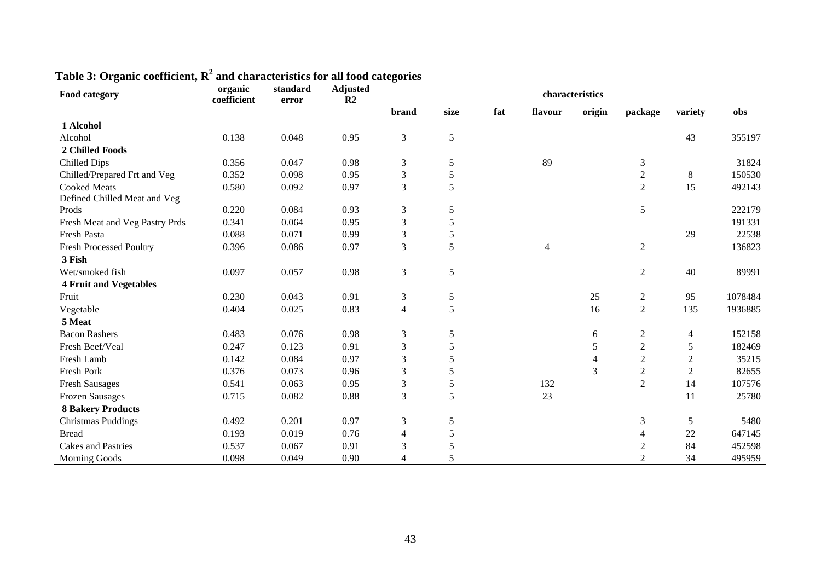| Food category                  | organic<br>coefficient | standard<br>error | <b>Adjusted</b><br>R <sub>2</sub> |                |      |     |                | characteristics |                  |                |         |
|--------------------------------|------------------------|-------------------|-----------------------------------|----------------|------|-----|----------------|-----------------|------------------|----------------|---------|
|                                |                        |                   |                                   | brand          | size | fat | flavour        | origin          | package          | variety        | obs     |
| 1 Alcohol                      |                        |                   |                                   |                |      |     |                |                 |                  |                |         |
| Alcohol                        | 0.138                  | 0.048             | 0.95                              | 3              | 5    |     |                |                 |                  | 43             | 355197  |
| 2 Chilled Foods                |                        |                   |                                   |                |      |     |                |                 |                  |                |         |
| Chilled Dips                   | 0.356                  | 0.047             | 0.98                              | $\mathfrak{Z}$ | 5    |     | 89             |                 | $\mathfrak{Z}$   |                | 31824   |
| Chilled/Prepared Frt and Veg   | 0.352                  | 0.098             | 0.95                              | 3              | 5    |     |                |                 | $\overline{2}$   | 8              | 150530  |
| <b>Cooked Meats</b>            | 0.580                  | 0.092             | 0.97                              | 3              | 5    |     |                |                 | 2                | 15             | 492143  |
| Defined Chilled Meat and Veg   |                        |                   |                                   |                |      |     |                |                 |                  |                |         |
| Prods                          | 0.220                  | 0.084             | 0.93                              | $\mathfrak{Z}$ | 5    |     |                |                 | 5                |                | 222179  |
| Fresh Meat and Veg Pastry Prds | 0.341                  | 0.064             | 0.95                              | 3              | 5    |     |                |                 |                  |                | 191331  |
| <b>Fresh Pasta</b>             | 0.088                  | 0.071             | 0.99                              | 3              | 5    |     |                |                 |                  | 29             | 22538   |
| <b>Fresh Processed Poultry</b> | 0.396                  | 0.086             | 0.97                              | 3              | 5    |     | $\overline{4}$ |                 | $\mathfrak{2}$   |                | 136823  |
| 3 Fish                         |                        |                   |                                   |                |      |     |                |                 |                  |                |         |
| Wet/smoked fish                | 0.097                  | 0.057             | 0.98                              | 3              | 5    |     |                |                 | $\overline{2}$   | 40             | 89991   |
| <b>4 Fruit and Vegetables</b>  |                        |                   |                                   |                |      |     |                |                 |                  |                |         |
| Fruit                          | 0.230                  | 0.043             | 0.91                              | $\mathfrak{Z}$ | 5    |     |                | 25              | $\boldsymbol{2}$ | 95             | 1078484 |
| Vegetable                      | 0.404                  | 0.025             | 0.83                              | $\overline{4}$ | 5    |     |                | 16              | $\overline{2}$   | 135            | 1936885 |
| 5 Meat                         |                        |                   |                                   |                |      |     |                |                 |                  |                |         |
| <b>Bacon Rashers</b>           | 0.483                  | 0.076             | 0.98                              | 3              | 5    |     |                | 6               | $\sqrt{2}$       | $\overline{4}$ | 152158  |
| Fresh Beef/Veal                | 0.247                  | 0.123             | 0.91                              | $\mathfrak{Z}$ | 5    |     |                | 5               | $\sqrt{2}$       | 5              | 182469  |
| Fresh Lamb                     | 0.142                  | 0.084             | 0.97                              | 3              | 5    |     |                | $\overline{4}$  | $\sqrt{2}$       | $\overline{c}$ | 35215   |
| Fresh Pork                     | 0.376                  | 0.073             | 0.96                              | 3              | 5    |     |                | 3               | $\sqrt{2}$       | $\overline{2}$ | 82655   |
| <b>Fresh Sausages</b>          | 0.541                  | 0.063             | 0.95                              | 3              | 5    |     | 132            |                 | $\overline{2}$   | 14             | 107576  |
| <b>Frozen Sausages</b>         | 0.715                  | 0.082             | 0.88                              | $\mathfrak{Z}$ | 5    |     | 23             |                 |                  | 11             | 25780   |
| <b>8 Bakery Products</b>       |                        |                   |                                   |                |      |     |                |                 |                  |                |         |
| <b>Christmas Puddings</b>      | 0.492                  | 0.201             | 0.97                              | 3              | 5    |     |                |                 | 3                | 5              | 5480    |
| <b>Bread</b>                   | 0.193                  | 0.019             | 0.76                              | 4              | 5    |     |                |                 | 4                | 22             | 647145  |
| <b>Cakes and Pastries</b>      | 0.537                  | 0.067             | 0.91                              | 3              | 5    |     |                |                 | $\sqrt{2}$       | 84             | 452598  |
| <b>Morning Goods</b>           | 0.098                  | 0.049             | 0.90                              | 4              | 5    |     |                |                 | $\overline{2}$   | 34             | 495959  |

# **Table 3: Organic coefficient, R2 and characteristics for all food categories**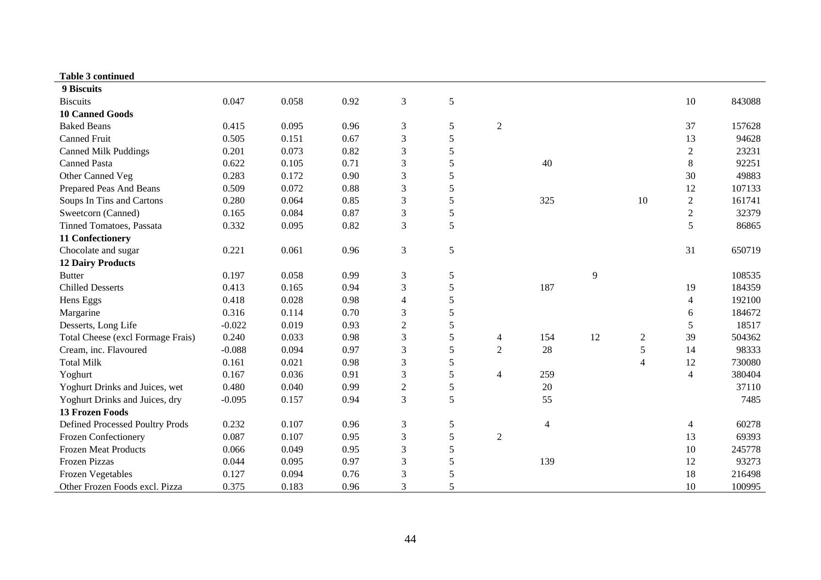| <b>Table 3 continued</b>          |          |       |      |                |   |                |                |    |                |                |        |
|-----------------------------------|----------|-------|------|----------------|---|----------------|----------------|----|----------------|----------------|--------|
| 9 Biscuits                        |          |       |      |                |   |                |                |    |                |                |        |
| <b>Biscuits</b>                   | 0.047    | 0.058 | 0.92 | 3              | 5 |                |                |    |                | 10             | 843088 |
| <b>10 Canned Goods</b>            |          |       |      |                |   |                |                |    |                |                |        |
| <b>Baked Beans</b>                | 0.415    | 0.095 | 0.96 | 3              | 5 | $\overline{2}$ |                |    |                | 37             | 157628 |
| <b>Canned Fruit</b>               | 0.505    | 0.151 | 0.67 | $\mathfrak{Z}$ | 5 |                |                |    |                | 13             | 94628  |
| <b>Canned Milk Puddings</b>       | 0.201    | 0.073 | 0.82 | 3              | 5 |                |                |    |                | $\mathfrak{2}$ | 23231  |
| <b>Canned Pasta</b>               | 0.622    | 0.105 | 0.71 | 3              | 5 |                | 40             |    |                | $\,8\,$        | 92251  |
| Other Canned Veg                  | 0.283    | 0.172 | 0.90 | 3              | 5 |                |                |    |                | 30             | 49883  |
| Prepared Peas And Beans           | 0.509    | 0.072 | 0.88 | 3              | 5 |                |                |    |                | 12             | 107133 |
| Soups In Tins and Cartons         | 0.280    | 0.064 | 0.85 | 3              | 5 |                | 325            |    | 10             | $\sqrt{2}$     | 161741 |
| Sweetcorn (Canned)                | 0.165    | 0.084 | 0.87 | 3              | 5 |                |                |    |                | $\overline{2}$ | 32379  |
| Tinned Tomatoes, Passata          | 0.332    | 0.095 | 0.82 | 3              | 5 |                |                |    |                | 5              | 86865  |
| 11 Confectionery                  |          |       |      |                |   |                |                |    |                |                |        |
| Chocolate and sugar               | 0.221    | 0.061 | 0.96 | $\mathfrak{Z}$ | 5 |                |                |    |                | 31             | 650719 |
| <b>12 Dairy Products</b>          |          |       |      |                |   |                |                |    |                |                |        |
| <b>Butter</b>                     | 0.197    | 0.058 | 0.99 | $\mathfrak 3$  | 5 |                |                | 9  |                |                | 108535 |
| <b>Chilled Desserts</b>           | 0.413    | 0.165 | 0.94 | $\mathfrak{Z}$ | 5 |                | 187            |    |                | 19             | 184359 |
| Hens Eggs                         | 0.418    | 0.028 | 0.98 | 4              | 5 |                |                |    |                | $\overline{4}$ | 192100 |
| Margarine                         | 0.316    | 0.114 | 0.70 | 3              | 5 |                |                |    |                | 6              | 184672 |
| Desserts, Long Life               | $-0.022$ | 0.019 | 0.93 | $\overline{2}$ | 5 |                |                |    |                | 5              | 18517  |
| Total Cheese (excl Formage Frais) | 0.240    | 0.033 | 0.98 | 3              | 5 | 4              | 154            | 12 | $\overline{2}$ | 39             | 504362 |
| Cream, inc. Flavoured             | $-0.088$ | 0.094 | 0.97 | 3              | 5 | $\overline{2}$ | 28             |    | $\sqrt{5}$     | 14             | 98333  |
| <b>Total Milk</b>                 | 0.161    | 0.021 | 0.98 | 3              | 5 |                |                |    | $\overline{4}$ | 12             | 730080 |
| Yoghurt                           | 0.167    | 0.036 | 0.91 | 3              | 5 | $\overline{4}$ | 259            |    |                | $\overline{4}$ | 380404 |
| Yoghurt Drinks and Juices, wet    | 0.480    | 0.040 | 0.99 | $\mathfrak{2}$ | 5 |                | 20             |    |                |                | 37110  |
| Yoghurt Drinks and Juices, dry    | $-0.095$ | 0.157 | 0.94 | 3              | 5 |                | 55             |    |                |                | 7485   |
| <b>13 Frozen Foods</b>            |          |       |      |                |   |                |                |    |                |                |        |
| Defined Processed Poultry Prods   | 0.232    | 0.107 | 0.96 | $\mathfrak 3$  | 5 |                | $\overline{4}$ |    |                | $\overline{4}$ | 60278  |
| Frozen Confectionery              | 0.087    | 0.107 | 0.95 | 3              | 5 | $\overline{2}$ |                |    |                | 13             | 69393  |
| <b>Frozen Meat Products</b>       | 0.066    | 0.049 | 0.95 | 3              | 5 |                |                |    |                | 10             | 245778 |
| <b>Frozen Pizzas</b>              | 0.044    | 0.095 | 0.97 | 3              | 5 |                | 139            |    |                | 12             | 93273  |
| <b>Frozen Vegetables</b>          | 0.127    | 0.094 | 0.76 | 3              | 5 |                |                |    |                | 18             | 216498 |
| Other Frozen Foods excl. Pizza    | 0.375    | 0.183 | 0.96 | 3              | 5 |                |                |    |                | 10             | 100995 |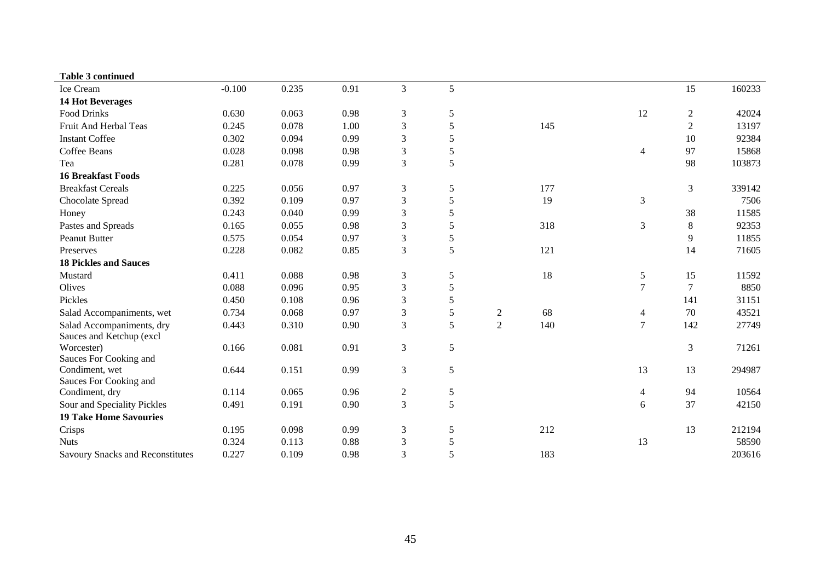| <b>Table 3 continued</b>                |          |       |      |                             |               |                |     |                |                |        |
|-----------------------------------------|----------|-------|------|-----------------------------|---------------|----------------|-----|----------------|----------------|--------|
| Ice Cream                               | $-0.100$ | 0.235 | 0.91 | $\overline{3}$              | 5             |                |     |                | 15             | 160233 |
| <b>14 Hot Beverages</b>                 |          |       |      |                             |               |                |     |                |                |        |
| <b>Food Drinks</b>                      | 0.630    | 0.063 | 0.98 | $\ensuremath{\mathfrak{Z}}$ | 5             |                |     | 12             | $\overline{c}$ | 42024  |
| Fruit And Herbal Teas                   | 0.245    | 0.078 | 1.00 | $\mathfrak{Z}$              | 5             |                | 145 |                | 2              | 13197  |
| <b>Instant Coffee</b>                   | 0.302    | 0.094 | 0.99 | $\mathfrak{Z}$              | 5             |                |     |                | 10             | 92384  |
| Coffee Beans                            | 0.028    | 0.098 | 0.98 | 3                           | 5             |                |     | $\overline{4}$ | 97             | 15868  |
| Tea                                     | 0.281    | 0.078 | 0.99 | $\mathfrak{Z}$              | 5             |                |     |                | 98             | 103873 |
| <b>16 Breakfast Foods</b>               |          |       |      |                             |               |                |     |                |                |        |
| <b>Breakfast Cereals</b>                | 0.225    | 0.056 | 0.97 | $\mathfrak{Z}$              | $\sqrt{5}$    |                | 177 |                | 3              | 339142 |
| Chocolate Spread                        | 0.392    | 0.109 | 0.97 | $\ensuremath{\mathfrak{Z}}$ | 5             |                | 19  | 3              |                | 7506   |
| Honey                                   | 0.243    | 0.040 | 0.99 | $\ensuremath{\mathfrak{Z}}$ | 5             |                |     |                | 38             | 11585  |
| Pastes and Spreads                      | 0.165    | 0.055 | 0.98 | $\mathfrak{Z}$              | 5             |                | 318 | 3              | 8              | 92353  |
| <b>Peanut Butter</b>                    | 0.575    | 0.054 | 0.97 | $\mathfrak{Z}$              | $\mathfrak s$ |                |     |                | 9              | 11855  |
| Preserves                               | 0.228    | 0.082 | 0.85 | $\mathfrak{Z}$              | 5             |                | 121 |                | 14             | 71605  |
| <b>18 Pickles and Sauces</b>            |          |       |      |                             |               |                |     |                |                |        |
| Mustard                                 | 0.411    | 0.088 | 0.98 | $\mathfrak{Z}$              | 5             |                | 18  | 5              | 15             | 11592  |
| Olives                                  | 0.088    | 0.096 | 0.95 | $\ensuremath{\mathfrak{Z}}$ | 5             |                |     | 7              | 7              | 8850   |
| Pickles                                 | 0.450    | 0.108 | 0.96 | $\mathfrak{Z}$              | 5             |                |     |                | 141            | 31151  |
| Salad Accompaniments, wet               | 0.734    | 0.068 | 0.97 | $\ensuremath{\mathfrak{Z}}$ | 5             | 2              | 68  | 4              | 70             | 43521  |
| Salad Accompaniments, dry               | 0.443    | 0.310 | 0.90 | $\overline{3}$              | 5             | $\overline{2}$ | 140 | $\tau$         | 142            | 27749  |
| Sauces and Ketchup (excl                |          |       |      |                             |               |                |     |                |                |        |
| Worcester)                              | 0.166    | 0.081 | 0.91 | $\mathfrak{Z}$              | 5             |                |     |                | 3              | 71261  |
| Sauces For Cooking and                  |          |       |      |                             |               |                |     |                |                |        |
| Condiment, wet                          | 0.644    | 0.151 | 0.99 | $\mathfrak{Z}$              | 5             |                |     | 13             | 13             | 294987 |
| Sauces For Cooking and                  |          |       |      |                             |               |                |     |                |                |        |
| Condiment, dry                          | 0.114    | 0.065 | 0.96 | $\mathbf{2}$                | 5             |                |     | 4              | 94             | 10564  |
| Sour and Speciality Pickles             | 0.491    | 0.191 | 0.90 | $\overline{3}$              | 5             |                |     | 6              | 37             | 42150  |
| <b>19 Take Home Savouries</b>           |          |       |      |                             |               |                |     |                |                |        |
| Crisps                                  | 0.195    | 0.098 | 0.99 | $\mathfrak{Z}$              | 5             |                | 212 |                | 13             | 212194 |
| <b>Nuts</b>                             | 0.324    | 0.113 | 0.88 | $\mathfrak{Z}$              | 5             |                |     | 13             |                | 58590  |
| <b>Savoury Snacks and Reconstitutes</b> | 0.227    | 0.109 | 0.98 | 3                           | 5             |                | 183 |                |                | 203616 |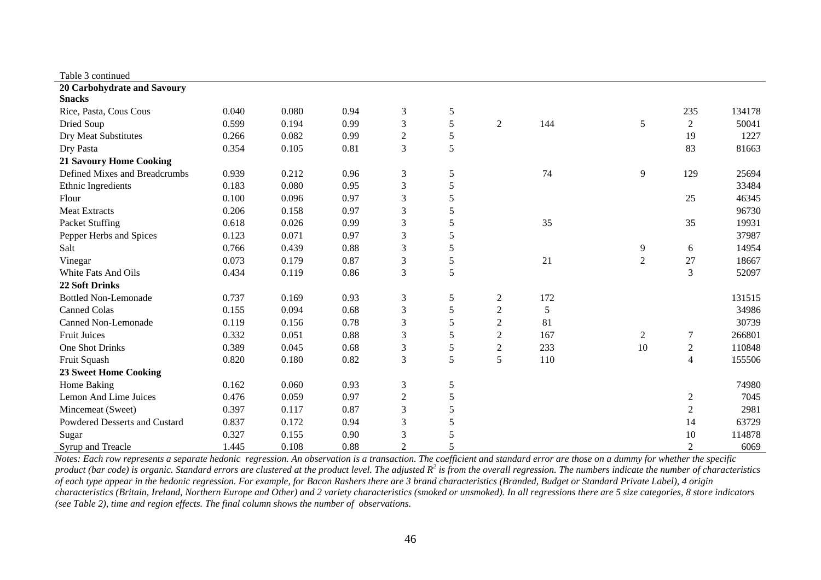| Table 3 continued              |       |       |      |                |   |                |     |                |                |        |
|--------------------------------|-------|-------|------|----------------|---|----------------|-----|----------------|----------------|--------|
| 20 Carbohydrate and Savoury    |       |       |      |                |   |                |     |                |                |        |
| <b>Snacks</b>                  |       |       |      |                |   |                |     |                |                |        |
| Rice, Pasta, Cous Cous         | 0.040 | 0.080 | 0.94 | $\mathfrak{Z}$ | 5 |                |     |                | 235            | 134178 |
| Dried Soup                     | 0.599 | 0.194 | 0.99 | $\mathfrak{Z}$ | 5 | $\overline{2}$ | 144 | 5              | $\overline{2}$ | 50041  |
| Dry Meat Substitutes           | 0.266 | 0.082 | 0.99 | $\overline{2}$ | 5 |                |     |                | 19             | 1227   |
| Dry Pasta                      | 0.354 | 0.105 | 0.81 | 3              | 5 |                |     |                | 83             | 81663  |
| <b>21 Savoury Home Cooking</b> |       |       |      |                |   |                |     |                |                |        |
| Defined Mixes and Breadcrumbs  | 0.939 | 0.212 | 0.96 | 3              | 5 |                | 74  | 9              | 129            | 25694  |
| Ethnic Ingredients             | 0.183 | 0.080 | 0.95 | $\mathfrak{Z}$ | 5 |                |     |                |                | 33484  |
| Flour                          | 0.100 | 0.096 | 0.97 | $\mathfrak{Z}$ | 5 |                |     |                | 25             | 46345  |
| <b>Meat Extracts</b>           | 0.206 | 0.158 | 0.97 | $\mathfrak{Z}$ | 5 |                |     |                |                | 96730  |
| Packet Stuffing                | 0.618 | 0.026 | 0.99 | $\mathfrak{Z}$ | 5 |                | 35  |                | 35             | 19931  |
| Pepper Herbs and Spices        | 0.123 | 0.071 | 0.97 | 3              | 5 |                |     |                |                | 37987  |
| Salt                           | 0.766 | 0.439 | 0.88 | 3              | 5 |                |     | 9              | 6              | 14954  |
| Vinegar                        | 0.073 | 0.179 | 0.87 | 3              | 5 |                | 21  | $\overline{2}$ | 27             | 18667  |
| White Fats And Oils            | 0.434 | 0.119 | 0.86 | $\mathfrak{Z}$ | 5 |                |     |                | 3              | 52097  |
| <b>22 Soft Drinks</b>          |       |       |      |                |   |                |     |                |                |        |
| <b>Bottled Non-Lemonade</b>    | 0.737 | 0.169 | 0.93 | $\mathfrak{Z}$ | 5 | $\overline{2}$ | 172 |                |                | 131515 |
| <b>Canned Colas</b>            | 0.155 | 0.094 | 0.68 | $\mathfrak{Z}$ | 5 | $\overline{2}$ | 5   |                |                | 34986  |
| <b>Canned Non-Lemonade</b>     | 0.119 | 0.156 | 0.78 | 3              | 5 | $\mathfrak{2}$ | 81  |                |                | 30739  |
| <b>Fruit Juices</b>            | 0.332 | 0.051 | 0.88 | 3              | 5 | $\overline{2}$ | 167 | $\mathbf{2}$   | $\overline{7}$ | 266801 |
| <b>One Shot Drinks</b>         | 0.389 | 0.045 | 0.68 | $\mathfrak{Z}$ | 5 | $\sqrt{2}$     | 233 | 10             | $\overline{2}$ | 110848 |
| Fruit Squash                   | 0.820 | 0.180 | 0.82 | $\mathfrak{Z}$ | 5 | 5              | 110 |                | 4              | 155506 |
| <b>23 Sweet Home Cooking</b>   |       |       |      |                |   |                |     |                |                |        |
| Home Baking                    | 0.162 | 0.060 | 0.93 | 3              | 5 |                |     |                |                | 74980  |
| Lemon And Lime Juices          | 0.476 | 0.059 | 0.97 | $\sqrt{2}$     | 5 |                |     |                | $\overline{2}$ | 7045   |
| Mincemeat (Sweet)              | 0.397 | 0.117 | 0.87 | 3              | 5 |                |     |                | 2              | 2981   |
| Powdered Desserts and Custard  | 0.837 | 0.172 | 0.94 | 3              | 5 |                |     |                | 14             | 63729  |
| Sugar                          | 0.327 | 0.155 | 0.90 | 3              | 5 |                |     |                | 10             | 114878 |
| Syrup and Treacle              | 1.445 | 0.108 | 0.88 | $\overline{2}$ | 5 |                |     |                | $\overline{2}$ | 6069   |

*Notes: Each row represents a separate hedonic regression. An observation is a transaction. The coefficient and standard error are those on a dummy for whether the specific*  product (bar code) is organic. Standard errors are clustered at the product level. The adjusted  $R^2$  is from the overall regression. The numbers indicate the number of characteristics *of each type appear in the hedonic regression. For example, for Bacon Rashers there are 3 brand characteristics (Branded, Budget or Standard Private Label), 4 origin characteristics (Britain, Ireland, Northern Europe and Other) and 2 variety characteristics (smoked or unsmoked). In all regressions there are 5 size categories, 8 store indicators (see Table 2), time and region effects. The final column shows the number of observations.*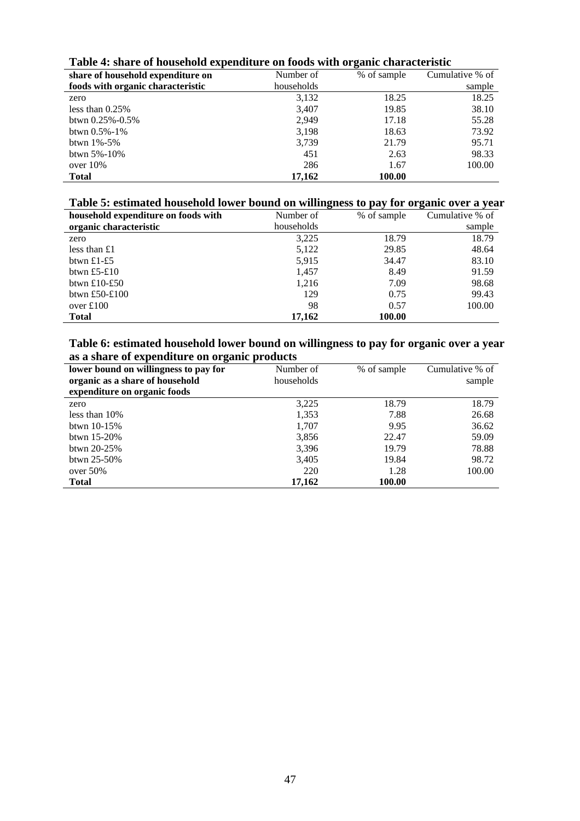| share of household expenditure on | Number of  | % of sample | Cumulative % of |
|-----------------------------------|------------|-------------|-----------------|
| foods with organic characteristic | households |             | sample          |
| zero                              | 3,132      | 18.25       | 18.25           |
| less than $0.25\%$                | 3,407      | 19.85       | 38.10           |
| btwn $0.25\% -0.5\%$              | 2.949      | 17.18       | 55.28           |
| btwn $0.5\% - 1\%$                | 3,198      | 18.63       | 73.92           |
| btwn $1\% - 5\%$                  | 3,739      | 21.79       | 95.71           |
| btwn $5\% - 10\%$                 | 451        | 2.63        | 98.33           |
| over $10\%$                       | 286        | 1.67        | 100.00          |
| <b>Total</b>                      | 17,162     | 100.00      |                 |

### **Table 4: share of household expenditure on foods with organic characteristic**

# **Table 5: estimated household lower bound on willingness to pay for organic over a year**

| household expenditure on foods with | Number of  | % of sample | Cumulative % of |
|-------------------------------------|------------|-------------|-----------------|
| organic characteristic              | households |             | sample          |
| zero                                | 3,225      | 18.79       | 18.79           |
| less than $£1$                      | 5,122      | 29.85       | 48.64           |
| btwn £1-£5                          | 5,915      | 34.47       | 83.10           |
| btwn £5-£10                         | 1,457      | 8.49        | 91.59           |
| btwn £10-£50                        | 1.216      | 7.09        | 98.68           |
| btwn £50-£100                       | 129        | 0.75        | 99.43           |
| over $£100$                         | 98         | 0.57        | 100.00          |
| <b>Total</b>                        | 17.162     | 100.00      |                 |

# **Table 6: estimated household lower bound on willingness to pay for organic over a year as a share of expenditure on organic products**

| $\overline{\phantom{a}}$<br>lower bound on willingness to pay for | Number of  | % of sample | Cumulative % of |
|-------------------------------------------------------------------|------------|-------------|-----------------|
| organic as a share of household                                   | households |             | sample          |
| expenditure on organic foods                                      |            |             |                 |
| zero                                                              | 3,225      | 18.79       | 18.79           |
| less than $10\%$                                                  | 1,353      | 7.88        | 26.68           |
| btwn $10-15%$                                                     | 1,707      | 9.95        | 36.62           |
| btwn $15-20\%$                                                    | 3,856      | 22.47       | 59.09           |
| btwn $20-25%$                                                     | 3,396      | 19.79       | 78.88           |
| btwn $25 - 50\%$                                                  | 3,405      | 19.84       | 98.72           |
| over $50\%$                                                       | 220        | 1.28        | 100.00          |
| <b>Total</b>                                                      | 17,162     | 100.00      |                 |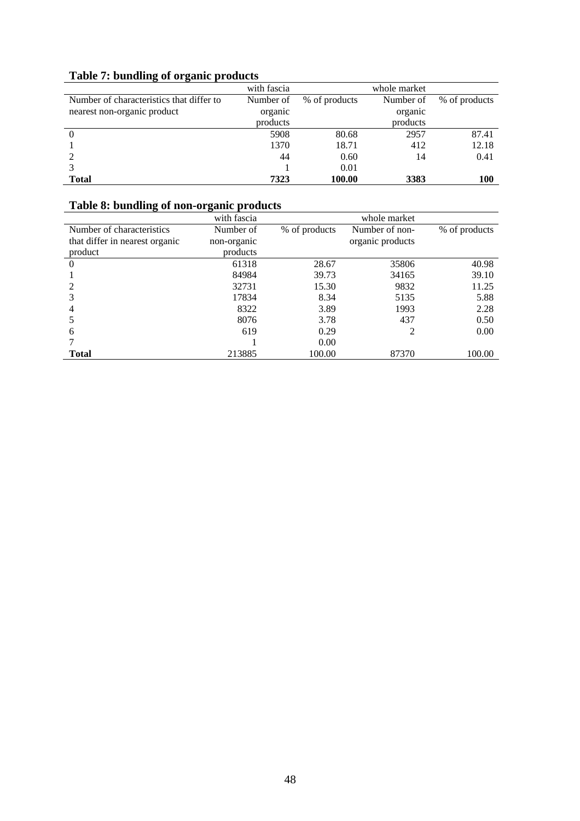| Twore to concentry of organic produces   |             |               |              |               |
|------------------------------------------|-------------|---------------|--------------|---------------|
|                                          | with fascia |               | whole market |               |
| Number of characteristics that differ to | Number of   | % of products | Number of    | % of products |
| nearest non-organic product              | organic     |               | organic      |               |
|                                          | products    |               | products     |               |
|                                          | 5908        | 80.68         | 2957         | 87.41         |
|                                          | 1370        | 18.71         | 412          | 12.18         |
|                                          | 44          | 0.60          | 14           | 0.41          |
|                                          |             | 0.01          |              |               |
| <b>Total</b>                             | 7323        | 100.00        | 3383         | 100           |

# **Table 7: bundling of organic products**

# **Table 8: bundling of non-organic products**

|                                | with fascia |               | whole market     |               |
|--------------------------------|-------------|---------------|------------------|---------------|
| Number of characteristics      | Number of   | % of products | Number of non-   | % of products |
| that differ in nearest organic | non-organic |               | organic products |               |
| product                        | products    |               |                  |               |
| $\theta$                       | 61318       | 28.67         | 35806            | 40.98         |
|                                | 84984       | 39.73         | 34165            | 39.10         |
|                                | 32731       | 15.30         | 9832             | 11.25         |
|                                | 17834       | 8.34          | 5135             | 5.88          |
| 4                              | 8322        | 3.89          | 1993             | 2.28          |
|                                | 8076        | 3.78          | 437              | 0.50          |
| 6                              | 619         | 0.29          | 2                | 0.00          |
|                                |             | 0.00          |                  |               |
| <b>Total</b>                   | 213885      | 100.00        | 87370            | 100.00        |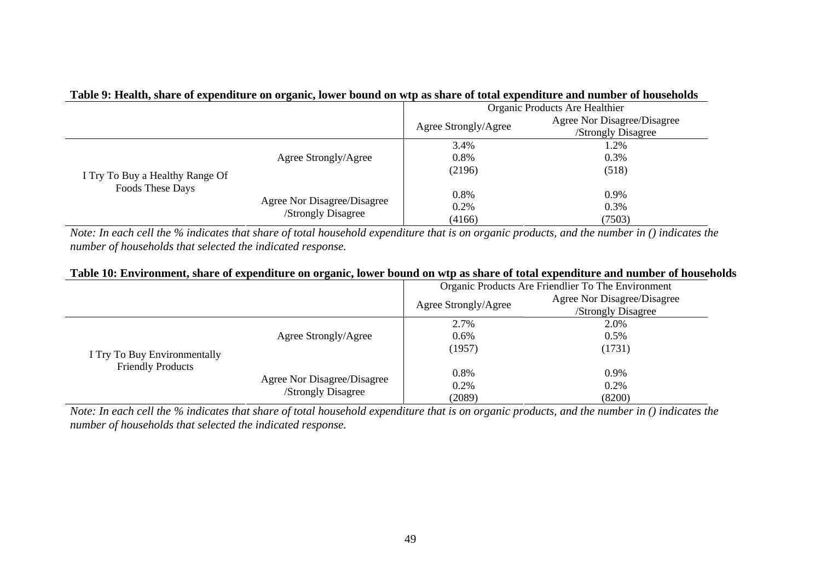|                                                     | . .                         |                                |                             |  |
|-----------------------------------------------------|-----------------------------|--------------------------------|-----------------------------|--|
|                                                     |                             | Organic Products Are Healthier |                             |  |
|                                                     |                             |                                | Agree Nor Disagree/Disagree |  |
|                                                     |                             | Agree Strongly/Agree           | /Strongly Disagree          |  |
|                                                     |                             | 3.4%                           | 1.2%                        |  |
| I Try To Buy a Healthy Range Of<br>Foods These Days | Agree Strongly/Agree        | 0.8%                           | 0.3%                        |  |
|                                                     |                             | (2196)                         | (518)                       |  |
|                                                     | Agree Nor Disagree/Disagree | 0.8%                           | 0.9%                        |  |
|                                                     | /Strongly Disagree          | 0.2%                           | 0.3%                        |  |
|                                                     |                             | (4166)                         | (7503)                      |  |

# **Table 9: Health, share of expenditure on organic, lower bound on wtp as share of total expenditure and number of households**

*Note: In each cell the % indicates that share of total household expenditure that is on organic products, and the number in () indicates the number of households that selected the indicated response.* 

### **Table 10: Environment, share of expenditure on organic, lower bound on wtp as share of total expenditure and number of households**

|                                                          |                                                   | Organic Products Are Friendlier To The Environment |                             |  |
|----------------------------------------------------------|---------------------------------------------------|----------------------------------------------------|-----------------------------|--|
|                                                          |                                                   | Agree Strongly/Agree                               | Agree Nor Disagree/Disagree |  |
|                                                          |                                                   |                                                    | /Strongly Disagree          |  |
|                                                          |                                                   | 2.7%                                               | 2.0%                        |  |
| I Try To Buy Environmentally<br><b>Friendly Products</b> | Agree Strongly/Agree                              | $0.6\%$                                            | 0.5%                        |  |
|                                                          |                                                   | (1957)                                             | (1731)                      |  |
|                                                          | Agree Nor Disagree/Disagree<br>/Strongly Disagree | 0.8%                                               | 0.9%                        |  |
|                                                          |                                                   | $0.2\%$                                            | 0.2%                        |  |
|                                                          |                                                   | (2089)                                             | (8200)                      |  |

*Note: In each cell the % indicates that share of total household expenditure that is on organic products, and the number in () indicates the number of households that selected the indicated response.*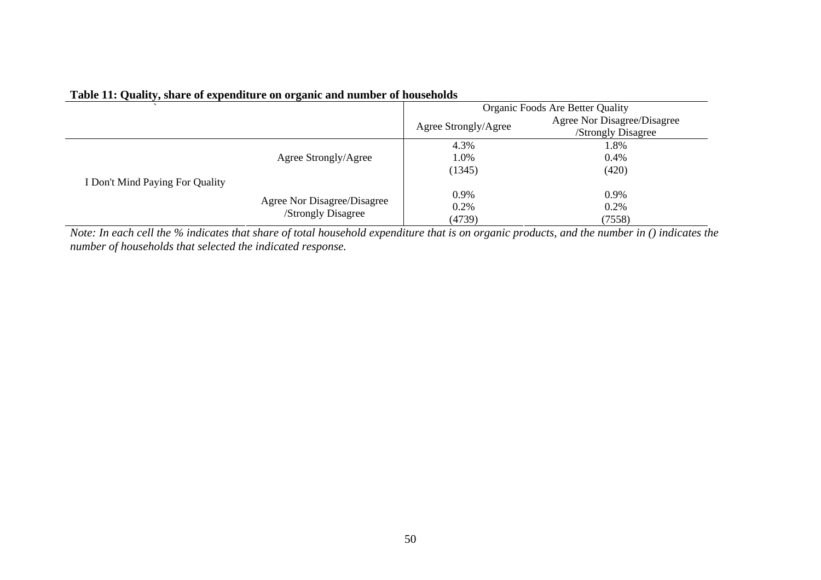|                                 |                             | Organic Foods Are Better Quality |                                                   |  |
|---------------------------------|-----------------------------|----------------------------------|---------------------------------------------------|--|
|                                 |                             | Agree Strongly/Agree             | Agree Nor Disagree/Disagree<br>/Strongly Disagree |  |
|                                 |                             | 4.3%                             | 1.8%                                              |  |
|                                 | Agree Strongly/Agree        | 1.0%                             | 0.4%                                              |  |
|                                 |                             | (1345)                           | (420)                                             |  |
| I Don't Mind Paying For Quality |                             |                                  |                                                   |  |
| /Strongly Disagree              | Agree Nor Disagree/Disagree | 0.9%                             | 0.9%                                              |  |
|                                 |                             | 0.2%                             | 0.2%                                              |  |
|                                 |                             | (4739)                           | (7558)                                            |  |

## **Table 11: Quality, share of expenditure on organic and number of households**

*Note: In each cell the % indicates that share of total household expenditure that is on organic products, and the number in () indicates the number of households that selected the indicated response.*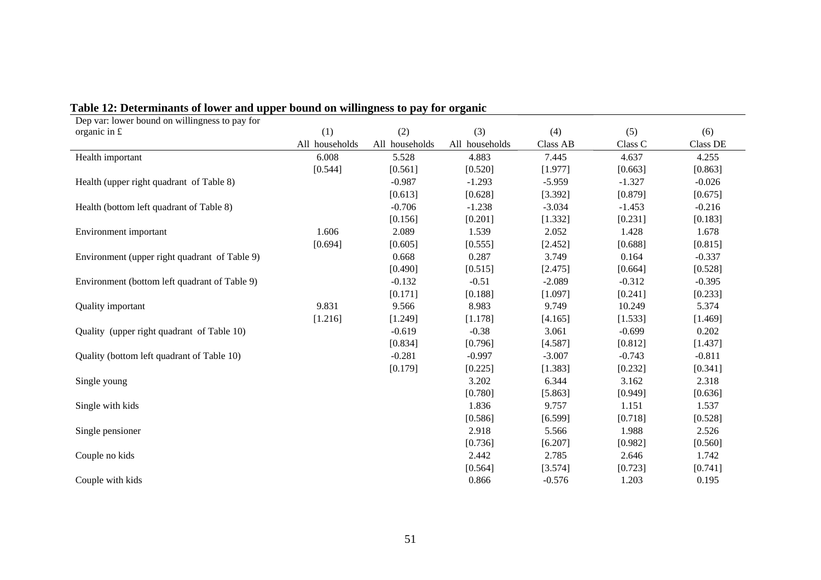| Dep var: lower bound on willingness to pay for |                |                |                |                 |          |          |
|------------------------------------------------|----------------|----------------|----------------|-----------------|----------|----------|
| organic in $E$                                 | (1)            | (2)            | (3)            | (4)             | (5)      | (6)      |
|                                                | All households | All households | All households | <b>Class AB</b> | Class C  | Class DE |
| Health important                               | 6.008          | 5.528          | 4.883          | 7.445           | 4.637    | 4.255    |
|                                                | [0.544]        | [0.561]        | [0.520]        | [1.977]         | [0.663]  | [0.863]  |
| Health (upper right quadrant of Table 8)       |                | $-0.987$       | $-1.293$       | $-5.959$        | $-1.327$ | $-0.026$ |
|                                                |                | [0.613]        | [0.628]        | [3.392]         | [0.879]  | [0.675]  |
| Health (bottom left quadrant of Table 8)       |                | $-0.706$       | $-1.238$       | $-3.034$        | $-1.453$ | $-0.216$ |
|                                                |                | [0.156]        | [0.201]        | [1.332]         | [0.231]  | [0.183]  |
| Environment important                          | 1.606          | 2.089          | 1.539          | 2.052           | 1.428    | 1.678    |
|                                                | [0.694]        | [0.605]        | [0.555]        | [2.452]         | [0.688]  | [0.815]  |
| Environment (upper right quadrant of Table 9)  |                | 0.668          | 0.287          | 3.749           | 0.164    | $-0.337$ |
|                                                |                | [0.490]        | [0.515]        | [2.475]         | [0.664]  | [0.528]  |
| Environment (bottom left quadrant of Table 9)  |                | $-0.132$       | $-0.51$        | $-2.089$        | $-0.312$ | $-0.395$ |
|                                                |                | [0.171]        | [0.188]        | [1.097]         | [0.241]  | [0.233]  |
| <b>Quality important</b>                       | 9.831          | 9.566          | 8.983          | 9.749           | 10.249   | 5.374    |
|                                                | [1.216]        | [1.249]        | [1.178]        | [4.165]         | [1.533]  | [1.469]  |
| Quality (upper right quadrant of Table 10)     |                | $-0.619$       | $-0.38$        | 3.061           | $-0.699$ | 0.202    |
|                                                |                | [0.834]        | [0.796]        | [4.587]         | [0.812]  | [1.437]  |
| Quality (bottom left quadrant of Table 10)     |                | $-0.281$       | $-0.997$       | $-3.007$        | $-0.743$ | $-0.811$ |
|                                                |                | [0.179]        | [0.225]        | [1.383]         | [0.232]  | [0.341]  |
| Single young                                   |                |                | 3.202          | 6.344           | 3.162    | 2.318    |
|                                                |                |                | [0.780]        | [5.863]         | [0.949]  | [0.636]  |
| Single with kids                               |                |                | 1.836          | 9.757           | 1.151    | 1.537    |
|                                                |                |                | [0.586]        | [6.599]         | [0.718]  | [0.528]  |
| Single pensioner                               |                |                | 2.918          | 5.566           | 1.988    | 2.526    |
|                                                |                |                | [0.736]        | [6.207]         | [0.982]  | [0.560]  |
| Couple no kids                                 |                |                | 2.442          | 2.785           | 2.646    | 1.742    |
|                                                |                |                | [0.564]        | [3.574]         | [0.723]  | [0.741]  |
| Couple with kids                               |                |                | 0.866          | $-0.576$        | 1.203    | 0.195    |

# **Table 12: Determinants of lower and upper bound on willingness to pay for organic**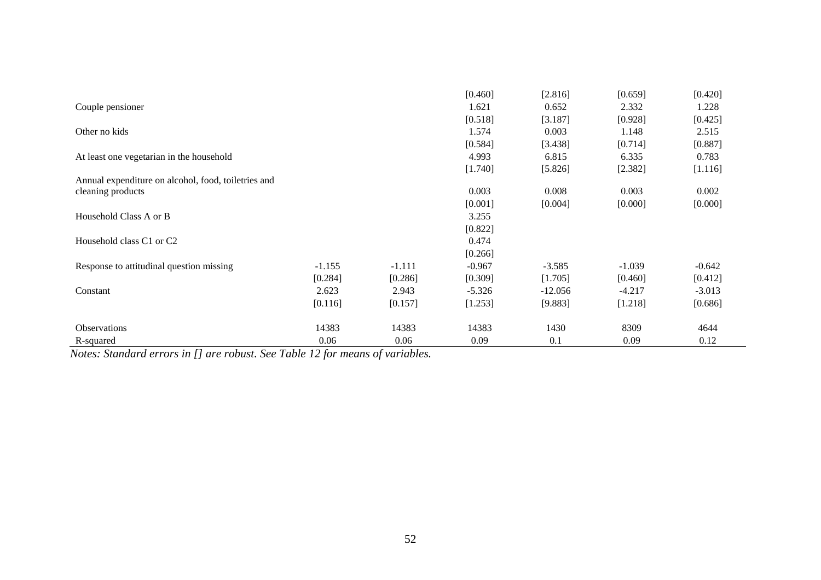|                                                     |          |          | [0.460]  | [2.816]   | [0.659]  | [0.420]  |
|-----------------------------------------------------|----------|----------|----------|-----------|----------|----------|
| Couple pensioner                                    |          |          | 1.621    | 0.652     | 2.332    | 1.228    |
|                                                     |          |          | [0.518]  | [3.187]   | [0.928]  | [0.425]  |
| Other no kids                                       |          |          | 1.574    | 0.003     | 1.148    | 2.515    |
|                                                     |          |          | [0.584]  | [3.438]   | [0.714]  | [0.887]  |
| At least one vegetarian in the household            |          |          | 4.993    | 6.815     | 6.335    | 0.783    |
|                                                     |          |          | [1.740]  | [5.826]   | [2.382]  | [1.116]  |
| Annual expenditure on alcohol, food, toiletries and |          |          |          |           |          |          |
| cleaning products                                   |          |          | 0.003    | 0.008     | 0.003    | 0.002    |
|                                                     |          |          | [0.001]  | [0.004]   | [0.000]  | [0.000]  |
| Household Class A or B                              |          |          | 3.255    |           |          |          |
|                                                     |          |          | [0.822]  |           |          |          |
| Household class C1 or C2                            |          |          | 0.474    |           |          |          |
|                                                     |          |          | [0.266]  |           |          |          |
| Response to attitudinal question missing            | $-1.155$ | $-1.111$ | $-0.967$ | $-3.585$  | $-1.039$ | $-0.642$ |
|                                                     | [0.284]  | [0.286]  | [0.309]  | [1.705]   | [0.460]  | [0.412]  |
| Constant                                            | 2.623    | 2.943    | $-5.326$ | $-12.056$ | $-4.217$ | $-3.013$ |
|                                                     | [0.116]  | [0.157]  | [1.253]  | [9.883]   | [1.218]  | [0.686]  |
| <b>Observations</b>                                 | 14383    | 14383    | 14383    | 1430      | 8309     | 4644     |
| R-squared                                           | 0.06     | 0.06     | 0.09     | 0.1       | 0.09     | 0.12     |

*Notes: Standard errors in [] are robust. See Table 12 for means of variables.*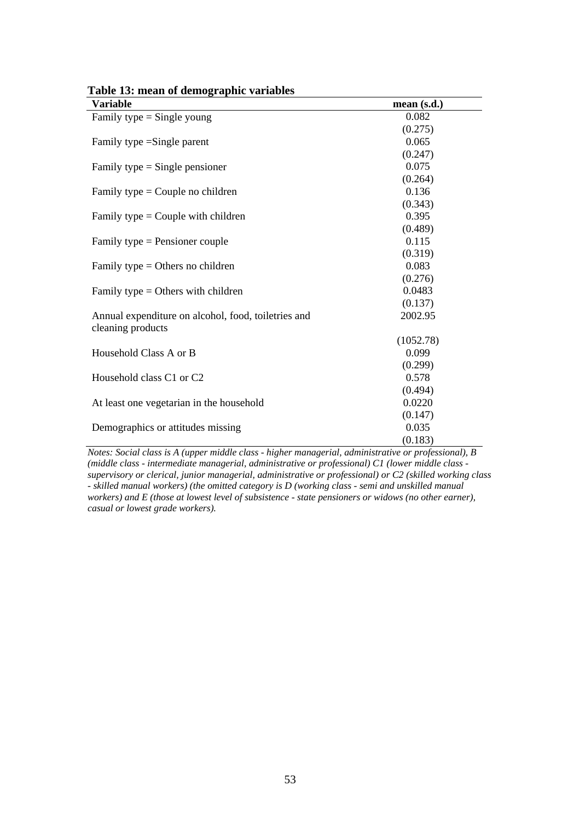| Variable                                                                 | mean(s.d.) |
|--------------------------------------------------------------------------|------------|
| Family type $=$ Single young                                             | 0.082      |
|                                                                          | (0.275)    |
| Family type = Single parent                                              | 0.065      |
|                                                                          | (0.247)    |
| Family type $=$ Single pensioner                                         | 0.075      |
|                                                                          | (0.264)    |
| Family type = Couple no children                                         | 0.136      |
|                                                                          | (0.343)    |
| Family type $=$ Couple with children                                     | 0.395      |
|                                                                          | (0.489)    |
| Family type $=$ Pensioner couple                                         | 0.115      |
|                                                                          | (0.319)    |
| Family type $=$ Others no children                                       | 0.083      |
|                                                                          | (0.276)    |
| Family type $=$ Others with children                                     | 0.0483     |
|                                                                          | (0.137)    |
| Annual expenditure on alcohol, food, toiletries and<br>cleaning products | 2002.95    |
|                                                                          | (1052.78)  |
| Household Class A or B                                                   | 0.099      |
|                                                                          | (0.299)    |
| Household class C1 or C2                                                 | 0.578      |
|                                                                          | (0.494)    |
| At least one vegetarian in the household                                 | 0.0220     |
|                                                                          | (0.147)    |
| Demographics or attitudes missing                                        | 0.035      |
|                                                                          | (0.183)    |

| Table 13: mean of demographic variables |  |
|-----------------------------------------|--|
|-----------------------------------------|--|

*Notes: Social class is A (upper middle class - higher managerial, administrative or professional), B (middle class - intermediate managerial, administrative or professional) C1 (lower middle class supervisory or clerical, junior managerial, administrative or professional) or C2 (skilled working class - skilled manual workers) (the omitted category is D (working class - semi and unskilled manual workers) and E (those at lowest level of subsistence - state pensioners or widows (no other earner), casual or lowest grade workers).*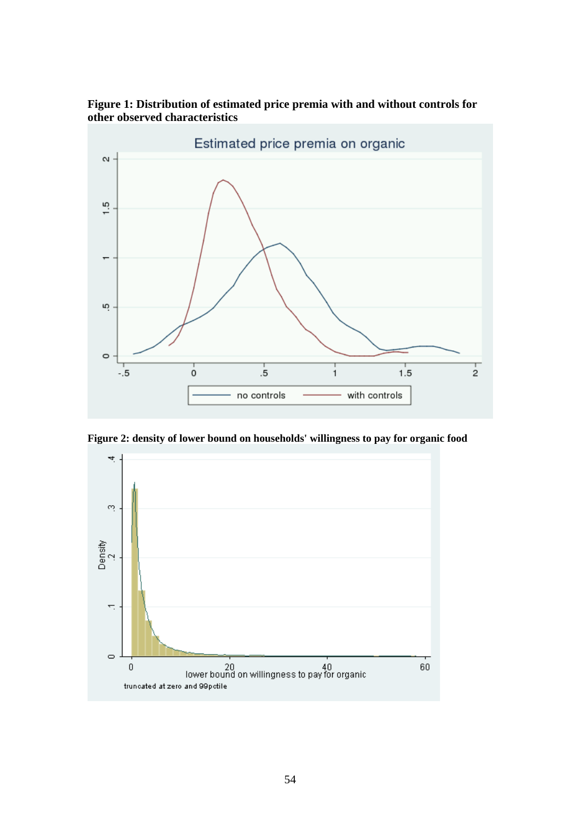# **Figure 1: Distribution of estimated price premia with and without controls for other observed characteristics**



**Figure 2: density of lower bound on households' willingness to pay for organic food**